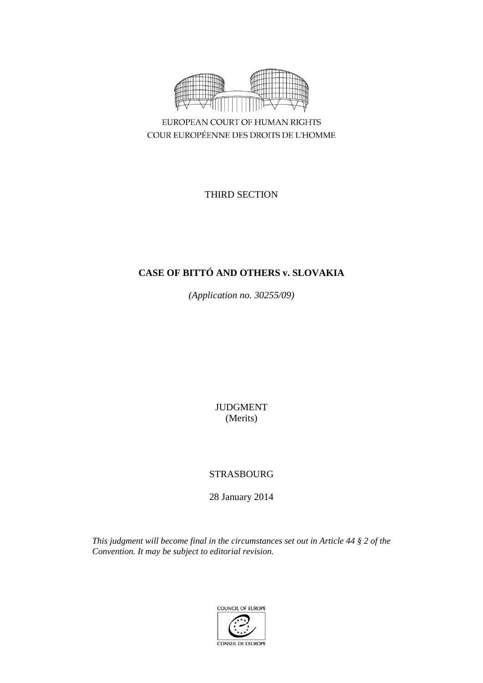

EUROPEAN COURT OF HUMAN RIGHTS COUR EUROPÉENNE DES DROITS DE L'HOMME

THIRD SECTION

# **CASE OF BITTÓ AND OTHERS v. SLOVAKIA**

*(Application no. 30255/09)*

JUDGMENT (Merits)

# STRASBOURG

28 January 2014

*This judgment will become final in the circumstances set out in Article 44 § 2 of the Convention. It may be subject to editorial revision.*

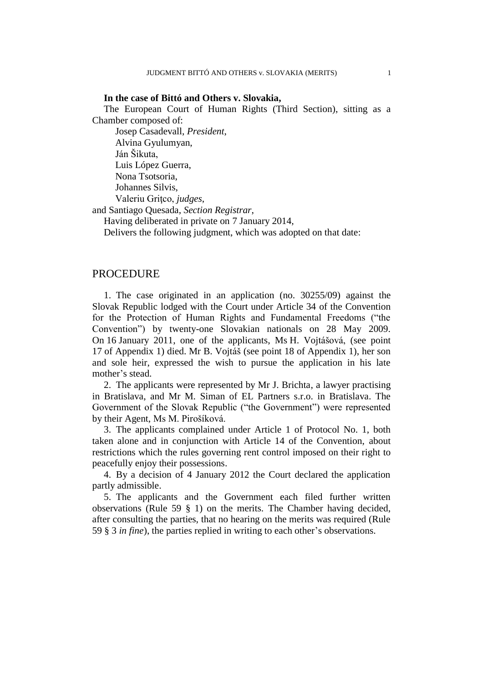#### **In the case of Bittó and Others v. Slovakia,**

The European Court of Human Rights (Third Section), sitting as a Chamber composed of:

Josep Casadevall, *President*, Alvina Gyulumyan, Ján Šikuta, Luis López Guerra, Nona Tsotsoria, Johannes Silvis, Valeriu Griţco, *judges*, and Santiago Quesada, *Section Registrar*,

Having deliberated in private on 7 January 2014,

Delivers the following judgment, which was adopted on that date:

### PROCEDURE

1. The case originated in an application (no. 30255/09) against the Slovak Republic lodged with the Court under Article 34 of the Convention for the Protection of Human Rights and Fundamental Freedoms ("the Convention") by twenty-one Slovakian nationals on 28 May 2009. On 16 January 2011, one of the applicants, Ms H. Vojtášová, (see point 17 of Appendix 1) died. Mr B. Vojtáš (see point 18 of Appendix 1), her son and sole heir, expressed the wish to pursue the application in his late mother's stead.

2. The applicants were represented by Mr J. Brichta, a lawyer practising in Bratislava, and Mr M. Siman of EL Partners s.r.o. in Bratislava. The Government of the Slovak Republic ("the Government") were represented by their Agent, Ms M. Pirošíková.

3. The applicants complained under Article 1 of Protocol No. 1, both taken alone and in conjunction with Article 14 of the Convention, about restrictions which the rules governing rent control imposed on their right to peacefully enjoy their possessions.

4. By a decision of 4 January 2012 the Court declared the application partly admissible.

5. The applicants and the Government each filed further written observations (Rule 59 § 1) on the merits. The Chamber having decided, after consulting the parties, that no hearing on the merits was required (Rule 59 § 3 *in fine*), the parties replied in writing to each other's observations.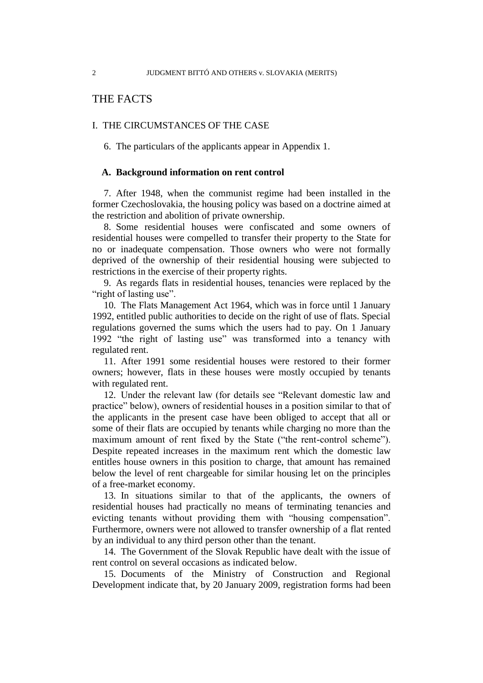## THE FACTS

#### I. THE CIRCUMSTANCES OF THE CASE

6. The particulars of the applicants appear in Appendix 1.

#### **A. Background information on rent control**

7. After 1948, when the communist regime had been installed in the former Czechoslovakia, the housing policy was based on a doctrine aimed at the restriction and abolition of private ownership.

8. Some residential houses were confiscated and some owners of residential houses were compelled to transfer their property to the State for no or inadequate compensation. Those owners who were not formally deprived of the ownership of their residential housing were subjected to restrictions in the exercise of their property rights.

9. As regards flats in residential houses, tenancies were replaced by the "right of lasting use".

10. The Flats Management Act 1964, which was in force until 1 January 1992, entitled public authorities to decide on the right of use of flats. Special regulations governed the sums which the users had to pay. On 1 January 1992 "the right of lasting use" was transformed into a tenancy with regulated rent.

11. After 1991 some residential houses were restored to their former owners; however, flats in these houses were mostly occupied by tenants with regulated rent.

12. Under the relevant law (for details see "Relevant domestic law and practice" below), owners of residential houses in a position similar to that of the applicants in the present case have been obliged to accept that all or some of their flats are occupied by tenants while charging no more than the maximum amount of rent fixed by the State ("the rent-control scheme"). Despite repeated increases in the maximum rent which the domestic law entitles house owners in this position to charge, that amount has remained below the level of rent chargeable for similar housing let on the principles of a free-market economy.

13. In situations similar to that of the applicants, the owners of residential houses had practically no means of terminating tenancies and evicting tenants without providing them with "housing compensation". Furthermore, owners were not allowed to transfer ownership of a flat rented by an individual to any third person other than the tenant.

14. The Government of the Slovak Republic have dealt with the issue of rent control on several occasions as indicated below.

15. Documents of the Ministry of Construction and Regional Development indicate that, by 20 January 2009, registration forms had been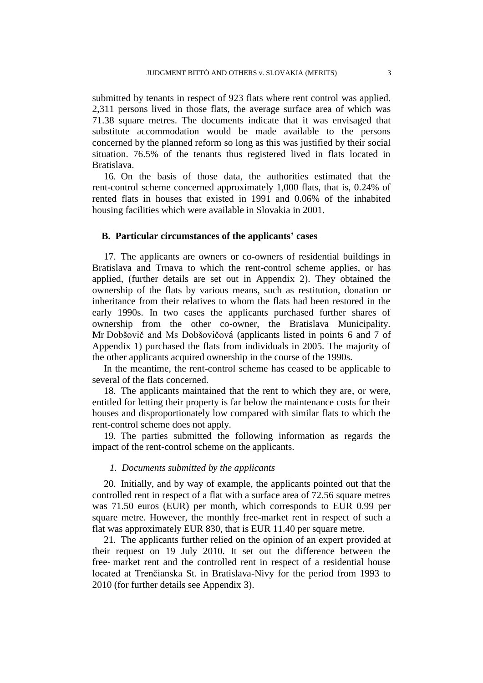submitted by tenants in respect of 923 flats where rent control was applied. 2,311 persons lived in those flats, the average surface area of which was 71.38 square metres. The documents indicate that it was envisaged that substitute accommodation would be made available to the persons concerned by the planned reform so long as this was justified by their social situation. 76.5% of the tenants thus registered lived in flats located in Bratislava.

16. On the basis of those data, the authorities estimated that the rent-control scheme concerned approximately 1,000 flats, that is, 0.24% of rented flats in houses that existed in 1991 and 0.06% of the inhabited housing facilities which were available in Slovakia in 2001.

#### **B. Particular circumstances of the applicants' cases**

17. The applicants are owners or co-owners of residential buildings in Bratislava and Trnava to which the rent-control scheme applies, or has applied, (further details are set out in Appendix 2). They obtained the ownership of the flats by various means, such as restitution, donation or inheritance from their relatives to whom the flats had been restored in the early 1990s. In two cases the applicants purchased further shares of ownership from the other co-owner, the Bratislava Municipality. Mr Dobšovič and Ms Dobšovičová (applicants listed in points 6 and 7 of Appendix 1) purchased the flats from individuals in 2005. The majority of the other applicants acquired ownership in the course of the 1990s.

In the meantime, the rent-control scheme has ceased to be applicable to several of the flats concerned.

18. The applicants maintained that the rent to which they are, or were, entitled for letting their property is far below the maintenance costs for their houses and disproportionately low compared with similar flats to which the rent-control scheme does not apply.

19. The parties submitted the following information as regards the impact of the rent-control scheme on the applicants.

#### *1. Documents submitted by the applicants*

20. Initially, and by way of example, the applicants pointed out that the controlled rent in respect of a flat with a surface area of 72.56 square metres was 71.50 euros (EUR) per month, which corresponds to EUR 0.99 per square metre. However, the monthly free-market rent in respect of such a flat was approximately EUR 830, that is EUR 11.40 per square metre.

21. The applicants further relied on the opinion of an expert provided at their request on 19 July 2010. It set out the difference between the free- market rent and the controlled rent in respect of a residential house located at Trenčianska St. in Bratislava-Nivy for the period from 1993 to 2010 (for further details see Appendix 3).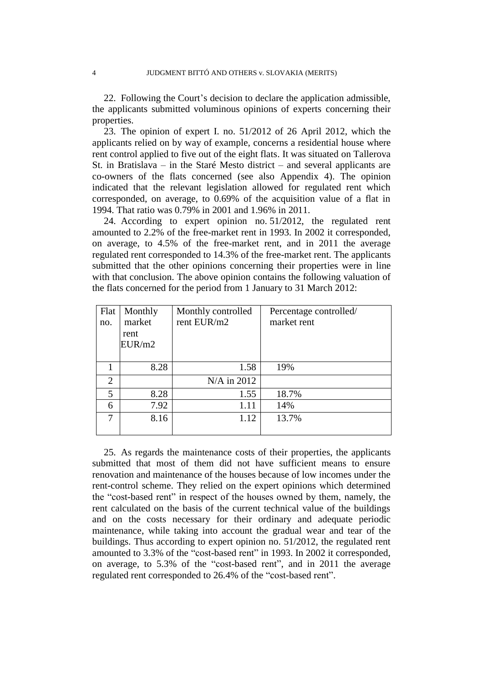22. Following the Court's decision to declare the application admissible, the applicants submitted voluminous opinions of experts concerning their properties.

23. The opinion of expert I. no. 51/2012 of 26 April 2012, which the applicants relied on by way of example, concerns a residential house where rent control applied to five out of the eight flats. It was situated on Tallerova St. in Bratislava – in the Staré Mesto district – and several applicants are co-owners of the flats concerned (see also Appendix 4). The opinion indicated that the relevant legislation allowed for regulated rent which corresponded, on average, to 0.69% of the acquisition value of a flat in 1994. That ratio was 0.79% in 2001 and 1.96% in 2011.

24. According to expert opinion no. 51/2012, the regulated rent amounted to 2.2% of the free-market rent in 1993. In 2002 it corresponded, on average, to 4.5% of the free-market rent, and in 2011 the average regulated rent corresponded to 14.3% of the free-market rent. The applicants submitted that the other opinions concerning their properties were in line with that conclusion. The above opinion contains the following valuation of the flats concerned for the period from 1 January to 31 March 2012:

| Flat           | Monthly | Monthly controlled | Percentage controlled/ |
|----------------|---------|--------------------|------------------------|
| no.            | market  | rent EUR/m2        | market rent            |
|                | rent    |                    |                        |
|                | EUR/m2  |                    |                        |
|                |         |                    |                        |
|                | 8.28    | 1.58               | 19%                    |
| $\overline{2}$ |         | N/A in 2012        |                        |
| 5              | 8.28    | 1.55               | 18.7%                  |
| 6              | 7.92    | 1.11               | 14%                    |
| 7              | 8.16    | 1.12               | 13.7%                  |
|                |         |                    |                        |

25. As regards the maintenance costs of their properties, the applicants submitted that most of them did not have sufficient means to ensure renovation and maintenance of the houses because of low incomes under the rent-control scheme. They relied on the expert opinions which determined the "cost-based rent" in respect of the houses owned by them, namely, the rent calculated on the basis of the current technical value of the buildings and on the costs necessary for their ordinary and adequate periodic maintenance, while taking into account the gradual wear and tear of the buildings. Thus according to expert opinion no. 51/2012, the regulated rent amounted to 3.3% of the "cost-based rent" in 1993. In 2002 it corresponded, on average, to 5.3% of the "cost-based rent", and in 2011 the average regulated rent corresponded to 26.4% of the "cost-based rent".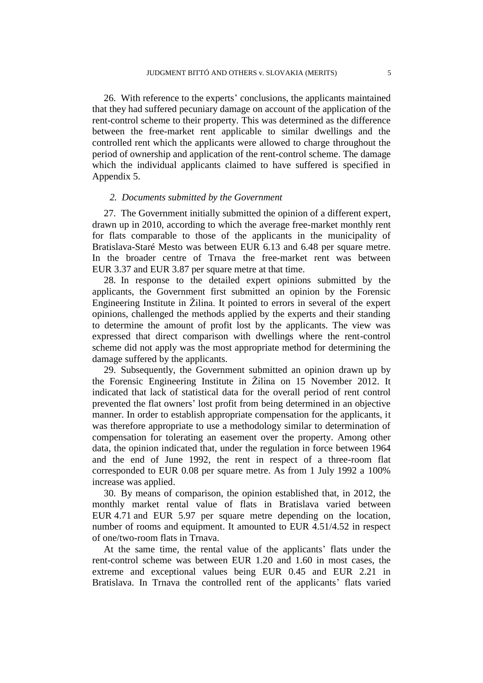26. With reference to the experts' conclusions, the applicants maintained that they had suffered pecuniary damage on account of the application of the rent-control scheme to their property. This was determined as the difference between the free-market rent applicable to similar dwellings and the controlled rent which the applicants were allowed to charge throughout the period of ownership and application of the rent-control scheme. The damage which the individual applicants claimed to have suffered is specified in Appendix 5.

#### *2. Documents submitted by the Government*

27. The Government initially submitted the opinion of a different expert, drawn up in 2010, according to which the average free-market monthly rent for flats comparable to those of the applicants in the municipality of Bratislava-Staré Mesto was between EUR 6.13 and 6.48 per square metre. In the broader centre of Trnava the free-market rent was between EUR 3.37 and EUR 3.87 per square metre at that time.

28. In response to the detailed expert opinions submitted by the applicants, the Government first submitted an opinion by the Forensic Engineering Institute in Žilina. It pointed to errors in several of the expert opinions, challenged the methods applied by the experts and their standing to determine the amount of profit lost by the applicants. The view was expressed that direct comparison with dwellings where the rent-control scheme did not apply was the most appropriate method for determining the damage suffered by the applicants.

29. Subsequently, the Government submitted an opinion drawn up by the Forensic Engineering Institute in Žilina on 15 November 2012. It indicated that lack of statistical data for the overall period of rent control prevented the flat owners' lost profit from being determined in an objective manner. In order to establish appropriate compensation for the applicants, it was therefore appropriate to use a methodology similar to determination of compensation for tolerating an easement over the property. Among other data, the opinion indicated that, under the regulation in force between 1964 and the end of June 1992, the rent in respect of a three-room flat corresponded to EUR 0.08 per square metre. As from 1 July 1992 a 100% increase was applied.

30. By means of comparison, the opinion established that, in 2012, the monthly market rental value of flats in Bratislava varied between EUR 4.71 and EUR 5.97 per square metre depending on the location, number of rooms and equipment. It amounted to EUR 4.51/4.52 in respect of one/two-room flats in Trnava.

At the same time, the rental value of the applicants' flats under the rent-control scheme was between EUR 1.20 and 1.60 in most cases, the extreme and exceptional values being EUR 0.45 and EUR 2.21 in Bratislava. In Trnava the controlled rent of the applicants' flats varied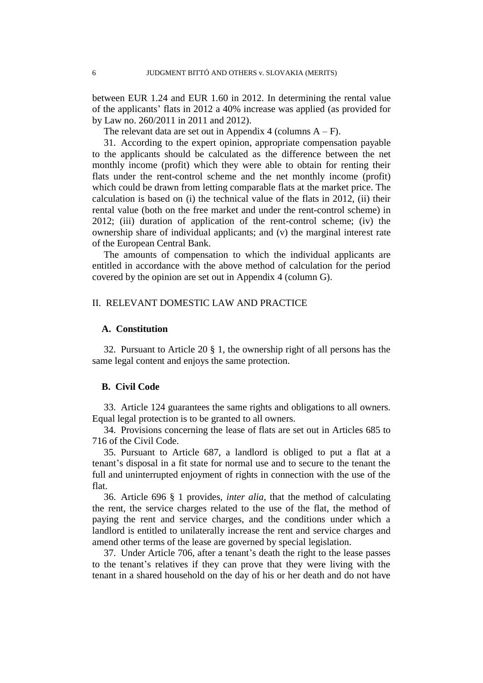between EUR 1.24 and EUR 1.60 in 2012. In determining the rental value of the applicants' flats in 2012 a 40% increase was applied (as provided for by Law no. 260/2011 in 2011 and 2012).

The relevant data are set out in Appendix 4 (columns  $A - F$ ).

31. According to the expert opinion, appropriate compensation payable to the applicants should be calculated as the difference between the net monthly income (profit) which they were able to obtain for renting their flats under the rent-control scheme and the net monthly income (profit) which could be drawn from letting comparable flats at the market price. The calculation is based on (i) the technical value of the flats in 2012, (ii) their rental value (both on the free market and under the rent-control scheme) in 2012; (iii) duration of application of the rent-control scheme; (iv) the ownership share of individual applicants; and (v) the marginal interest rate of the European Central Bank.

The amounts of compensation to which the individual applicants are entitled in accordance with the above method of calculation for the period covered by the opinion are set out in Appendix 4 (column G).

#### II. RELEVANT DOMESTIC LAW AND PRACTICE

#### **A. Constitution**

32. Pursuant to Article 20 § 1, the ownership right of all persons has the same legal content and enjoys the same protection.

#### **B. Civil Code**

33. Article 124 guarantees the same rights and obligations to all owners. Equal legal protection is to be granted to all owners.

34. Provisions concerning the lease of flats are set out in Articles 685 to 716 of the Civil Code.

35. Pursuant to Article 687, a landlord is obliged to put a flat at a tenant's disposal in a fit state for normal use and to secure to the tenant the full and uninterrupted enjoyment of rights in connection with the use of the flat.

36. Article 696 § 1 provides, *inter alia*, that the method of calculating the rent, the service charges related to the use of the flat, the method of paying the rent and service charges, and the conditions under which a landlord is entitled to unilaterally increase the rent and service charges and amend other terms of the lease are governed by special legislation.

37. Under Article 706, after a tenant's death the right to the lease passes to the tenant's relatives if they can prove that they were living with the tenant in a shared household on the day of his or her death and do not have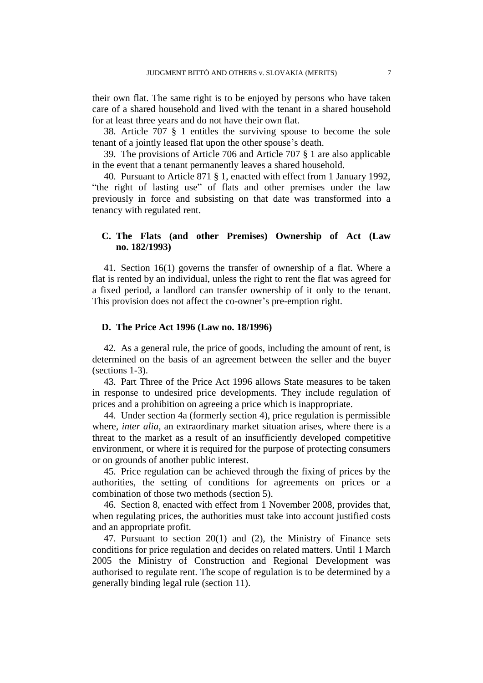their own flat. The same right is to be enjoyed by persons who have taken care of a shared household and lived with the tenant in a shared household for at least three years and do not have their own flat.

38. Article 707 § 1 entitles the surviving spouse to become the sole tenant of a jointly leased flat upon the other spouse's death.

39. The provisions of Article 706 and Article 707 § 1 are also applicable in the event that a tenant permanently leaves a shared household.

40. Pursuant to Article 871 § 1, enacted with effect from 1 January 1992, "the right of lasting use" of flats and other premises under the law previously in force and subsisting on that date was transformed into a tenancy with regulated rent.

### **C. The Flats (and other Premises) Ownership of Act (Law no. 182/1993)**

41. Section 16(1) governs the transfer of ownership of a flat. Where a flat is rented by an individual, unless the right to rent the flat was agreed for a fixed period, a landlord can transfer ownership of it only to the tenant. This provision does not affect the co-owner's pre-emption right.

## **D. The Price Act 1996 (Law no. 18/1996)**

42. As a general rule, the price of goods, including the amount of rent, is determined on the basis of an agreement between the seller and the buyer (sections 1-3).

43. Part Three of the Price Act 1996 allows State measures to be taken in response to undesired price developments. They include regulation of prices and a prohibition on agreeing a price which is inappropriate.

44. Under section 4a (formerly section 4), price regulation is permissible where, *inter alia*, an extraordinary market situation arises, where there is a threat to the market as a result of an insufficiently developed competitive environment, or where it is required for the purpose of protecting consumers or on grounds of another public interest.

45. Price regulation can be achieved through the fixing of prices by the authorities, the setting of conditions for agreements on prices or a combination of those two methods (section 5).

46. Section 8, enacted with effect from 1 November 2008, provides that, when regulating prices, the authorities must take into account justified costs and an appropriate profit.

47. Pursuant to section 20(1) and (2), the Ministry of Finance sets conditions for price regulation and decides on related matters. Until 1 March 2005 the Ministry of Construction and Regional Development was authorised to regulate rent. The scope of regulation is to be determined by a generally binding legal rule (section 11).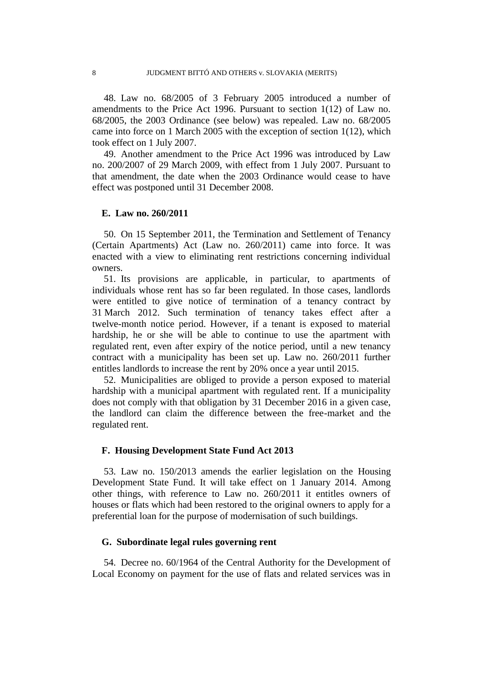48. Law no. 68/2005 of 3 February 2005 introduced a number of amendments to the Price Act 1996. Pursuant to section 1(12) of Law no. 68/2005, the 2003 Ordinance (see below) was repealed. Law no. 68/2005 came into force on 1 March 2005 with the exception of section 1(12), which took effect on 1 July 2007.

49. Another amendment to the Price Act 1996 was introduced by Law no. 200/2007 of 29 March 2009, with effect from 1 July 2007. Pursuant to that amendment, the date when the 2003 Ordinance would cease to have effect was postponed until 31 December 2008.

#### **E. Law no. 260/2011**

50. On 15 September 2011, the Termination and Settlement of Tenancy (Certain Apartments) Act (Law no. 260/2011) came into force. It was enacted with a view to eliminating rent restrictions concerning individual owners.

51. Its provisions are applicable, in particular, to apartments of individuals whose rent has so far been regulated. In those cases, landlords were entitled to give notice of termination of a tenancy contract by 31 March 2012. Such termination of tenancy takes effect after a twelve-month notice period. However, if a tenant is exposed to material hardship, he or she will be able to continue to use the apartment with regulated rent, even after expiry of the notice period, until a new tenancy contract with a municipality has been set up. Law no. 260/2011 further entitles landlords to increase the rent by 20% once a year until 2015.

52. Municipalities are obliged to provide a person exposed to material hardship with a municipal apartment with regulated rent. If a municipality does not comply with that obligation by 31 December 2016 in a given case, the landlord can claim the difference between the free-market and the regulated rent.

#### **F. Housing Development State Fund Act 2013**

53. Law no. 150/2013 amends the earlier legislation on the Housing Development State Fund. It will take effect on 1 January 2014. Among other things, with reference to Law no. 260/2011 it entitles owners of houses or flats which had been restored to the original owners to apply for a preferential loan for the purpose of modernisation of such buildings.

#### **G. Subordinate legal rules governing rent**

54. Decree no. 60/1964 of the Central Authority for the Development of Local Economy on payment for the use of flats and related services was in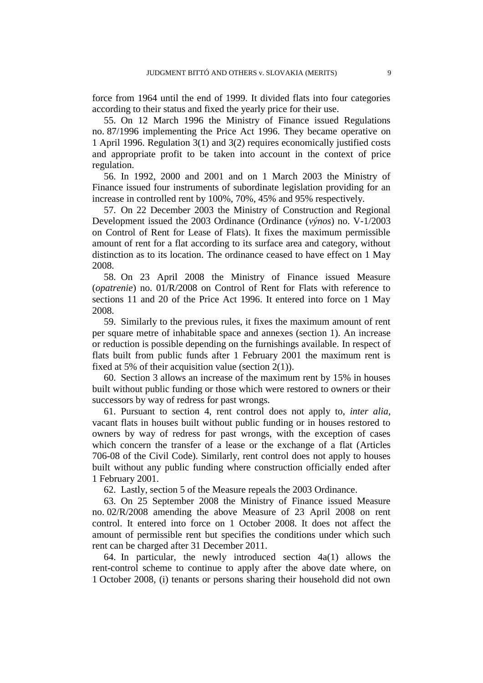force from 1964 until the end of 1999. It divided flats into four categories according to their status and fixed the yearly price for their use.

55. On 12 March 1996 the Ministry of Finance issued Regulations no. 87/1996 implementing the Price Act 1996. They became operative on 1 April 1996. Regulation 3(1) and 3(2) requires economically justified costs and appropriate profit to be taken into account in the context of price regulation.

56. In 1992, 2000 and 2001 and on 1 March 2003 the Ministry of Finance issued four instruments of subordinate legislation providing for an increase in controlled rent by 100%, 70%, 45% and 95% respectively.

57. On 22 December 2003 the Ministry of Construction and Regional Development issued the 2003 Ordinance (Ordinance (*výnos*) no. V-1/2003 on Control of Rent for Lease of Flats). It fixes the maximum permissible amount of rent for a flat according to its surface area and category, without distinction as to its location. The ordinance ceased to have effect on 1 May 2008.

58. On 23 April 2008 the Ministry of Finance issued Measure (*opatrenie*) no. 01/R/2008 on Control of Rent for Flats with reference to sections 11 and 20 of the Price Act 1996. It entered into force on 1 May 2008.

59. Similarly to the previous rules, it fixes the maximum amount of rent per square metre of inhabitable space and annexes (section 1). An increase or reduction is possible depending on the furnishings available. In respect of flats built from public funds after 1 February 2001 the maximum rent is fixed at 5% of their acquisition value (section  $2(1)$ ).

60. Section 3 allows an increase of the maximum rent by 15% in houses built without public funding or those which were restored to owners or their successors by way of redress for past wrongs.

61. Pursuant to section 4, rent control does not apply to, *inter alia*, vacant flats in houses built without public funding or in houses restored to owners by way of redress for past wrongs, with the exception of cases which concern the transfer of a lease or the exchange of a flat (Articles 706-08 of the Civil Code). Similarly, rent control does not apply to houses built without any public funding where construction officially ended after 1 February 2001.

62. Lastly, section 5 of the Measure repeals the 2003 Ordinance.

63. On 25 September 2008 the Ministry of Finance issued Measure no. 02/R/2008 amending the above Measure of 23 April 2008 on rent control. It entered into force on 1 October 2008. It does not affect the amount of permissible rent but specifies the conditions under which such rent can be charged after 31 December 2011.

64. In particular, the newly introduced section  $4a(1)$  allows the rent-control scheme to continue to apply after the above date where, on 1 October 2008, (i) tenants or persons sharing their household did not own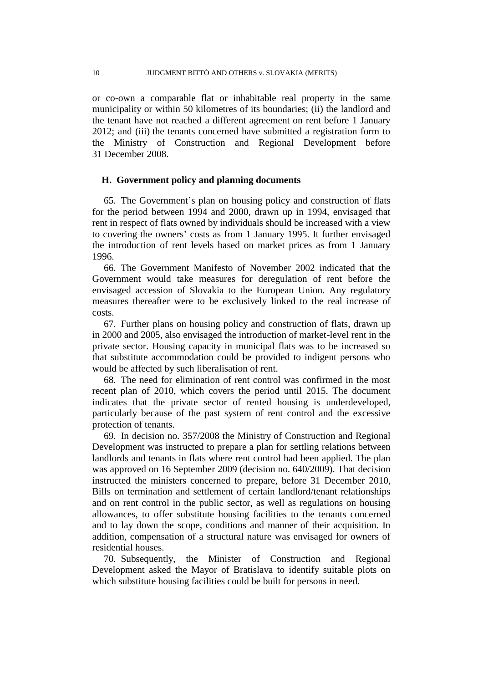or co-own a comparable flat or inhabitable real property in the same municipality or within 50 kilometres of its boundaries; (ii) the landlord and the tenant have not reached a different agreement on rent before 1 January 2012; and (iii) the tenants concerned have submitted a registration form to the Ministry of Construction and Regional Development before 31 December 2008.

#### **H. Government policy and planning documents**

65. The Government's plan on housing policy and construction of flats for the period between 1994 and 2000, drawn up in 1994, envisaged that rent in respect of flats owned by individuals should be increased with a view to covering the owners' costs as from 1 January 1995. It further envisaged the introduction of rent levels based on market prices as from 1 January 1996.

66. The Government Manifesto of November 2002 indicated that the Government would take measures for deregulation of rent before the envisaged accession of Slovakia to the European Union. Any regulatory measures thereafter were to be exclusively linked to the real increase of costs.

67. Further plans on housing policy and construction of flats, drawn up in 2000 and 2005, also envisaged the introduction of market-level rent in the private sector. Housing capacity in municipal flats was to be increased so that substitute accommodation could be provided to indigent persons who would be affected by such liberalisation of rent.

68. The need for elimination of rent control was confirmed in the most recent plan of 2010, which covers the period until 2015. The document indicates that the private sector of rented housing is underdeveloped, particularly because of the past system of rent control and the excessive protection of tenants.

69. In decision no. 357/2008 the Ministry of Construction and Regional Development was instructed to prepare a plan for settling relations between landlords and tenants in flats where rent control had been applied. The plan was approved on 16 September 2009 (decision no. 640/2009). That decision instructed the ministers concerned to prepare, before 31 December 2010, Bills on termination and settlement of certain landlord/tenant relationships and on rent control in the public sector, as well as regulations on housing allowances, to offer substitute housing facilities to the tenants concerned and to lay down the scope, conditions and manner of their acquisition. In addition, compensation of a structural nature was envisaged for owners of residential houses.

70. Subsequently, the Minister of Construction and Regional Development asked the Mayor of Bratislava to identify suitable plots on which substitute housing facilities could be built for persons in need.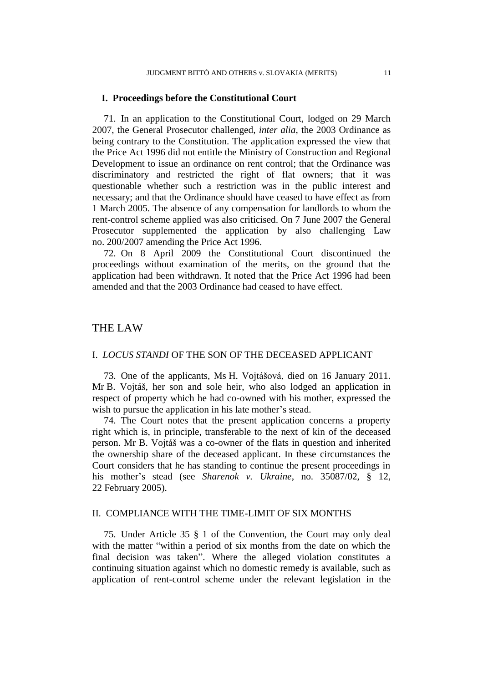#### **I. Proceedings before the Constitutional Court**

71. In an application to the Constitutional Court, lodged on 29 March 2007, the General Prosecutor challenged, *inter alia*, the 2003 Ordinance as being contrary to the Constitution. The application expressed the view that the Price Act 1996 did not entitle the Ministry of Construction and Regional Development to issue an ordinance on rent control; that the Ordinance was discriminatory and restricted the right of flat owners; that it was questionable whether such a restriction was in the public interest and necessary; and that the Ordinance should have ceased to have effect as from 1 March 2005. The absence of any compensation for landlords to whom the rent-control scheme applied was also criticised. On 7 June 2007 the General Prosecutor supplemented the application by also challenging Law no. 200/2007 amending the Price Act 1996.

72. On 8 April 2009 the Constitutional Court discontinued the proceedings without examination of the merits, on the ground that the application had been withdrawn. It noted that the Price Act 1996 had been amended and that the 2003 Ordinance had ceased to have effect.

# THE LAW

#### I. *LOCUS STANDI* OF THE SON OF THE DECEASED APPLICANT

73. One of the applicants, Ms H. Vojtášová, died on 16 January 2011. Mr B. Vojtáš, her son and sole heir, who also lodged an application in respect of property which he had co-owned with his mother, expressed the wish to pursue the application in his late mother's stead.

74. The Court notes that the present application concerns a property right which is, in principle, transferable to the next of kin of the deceased person. Mr B. Vojtáš was a co-owner of the flats in question and inherited the ownership share of the deceased applicant. In these circumstances the Court considers that he has standing to continue the present proceedings in his mother's stead (see *Sharenok v. Ukraine*, no. 35087/02, § 12, 22 February 2005).

### II. COMPLIANCE WITH THE TIME-LIMIT OF SIX MONTHS

75. Under Article 35 § 1 of the Convention, the Court may only deal with the matter "within a period of six months from the date on which the final decision was taken". Where the alleged violation constitutes a continuing situation against which no domestic remedy is available, such as application of rent-control scheme under the relevant legislation in the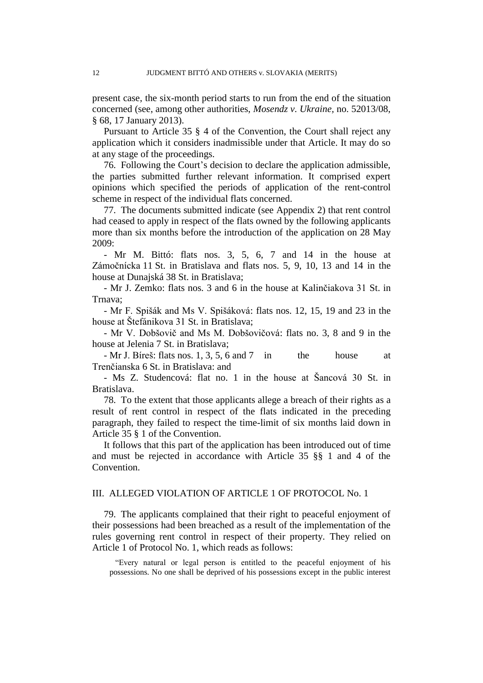present case, the six-month period starts to run from the end of the situation concerned (see, among other authorities, *Mosendz v. Ukraine,* no. 52013/08, § 68, 17 January 2013).

Pursuant to Article 35 § 4 of the Convention, the Court shall reject any application which it considers inadmissible under that Article. It may do so at any stage of the proceedings.

76. Following the Court's decision to declare the application admissible, the parties submitted further relevant information. It comprised expert opinions which specified the periods of application of the rent-control scheme in respect of the individual flats concerned.

77. The documents submitted indicate (see Appendix 2) that rent control had ceased to apply in respect of the flats owned by the following applicants more than six months before the introduction of the application on 28 May 2009:

- Mr M. Bittó: flats nos. 3, 5, 6, 7 and 14 in the house at Zámočnícka 11 St. in Bratislava and flats nos. 5, 9, 10, 13 and 14 in the house at Dunajská 38 St. in Bratislava;

- Mr J. Zemko: flats nos. 3 and 6 in the house at Kalinčiakova 31 St. in Trnava;

- Mr F. Spišák and Ms V. Spišáková: flats nos. 12, 15, 19 and 23 in the house at Štefánikova 31 St. in Bratislava;

- Mr V. Dobšovič and Ms M. Dobšovičová: flats no. 3, 8 and 9 in the house at Jelenia 7 St. in Bratislava;

- Mr J. Bíreš: flats nos. 1, 3, 5, 6 and 7 in the house at Trenčianska 6 St. in Bratislava: and

- Ms Z. Studencová: flat no. 1 in the house at Šancová 30 St. in Bratislava.

78. To the extent that those applicants allege a breach of their rights as a result of rent control in respect of the flats indicated in the preceding paragraph, they failed to respect the time-limit of six months laid down in Article 35 § 1 of the Convention.

It follows that this part of the application has been introduced out of time and must be rejected in accordance with Article 35 §§ 1 and 4 of the Convention.

### III. ALLEGED VIOLATION OF ARTICLE 1 OF PROTOCOL No. 1

79. The applicants complained that their right to peaceful enjoyment of their possessions had been breached as a result of the implementation of the rules governing rent control in respect of their property. They relied on Article 1 of Protocol No. 1, which reads as follows:

"Every natural or legal person is entitled to the peaceful enjoyment of his possessions. No one shall be deprived of his possessions except in the public interest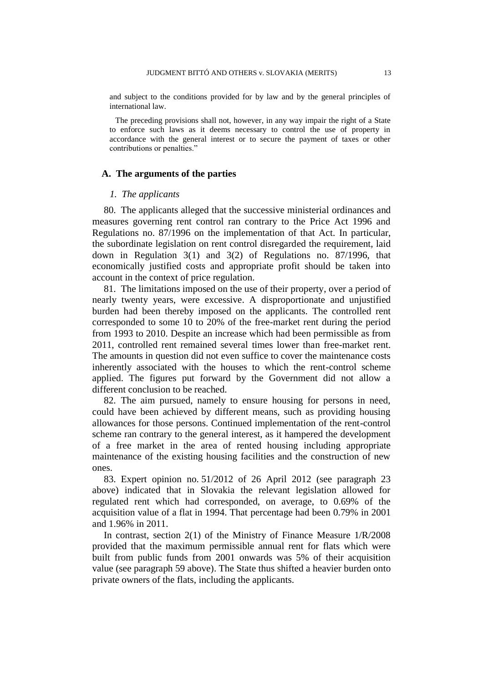and subject to the conditions provided for by law and by the general principles of international law.

The preceding provisions shall not, however, in any way impair the right of a State to enforce such laws as it deems necessary to control the use of property in accordance with the general interest or to secure the payment of taxes or other contributions or penalties."

#### **A. The arguments of the parties**

#### *1. The applicants*

80. The applicants alleged that the successive ministerial ordinances and measures governing rent control ran contrary to the Price Act 1996 and Regulations no. 87/1996 on the implementation of that Act. In particular, the subordinate legislation on rent control disregarded the requirement, laid down in Regulation 3(1) and 3(2) of Regulations no. 87/1996, that economically justified costs and appropriate profit should be taken into account in the context of price regulation.

81. The limitations imposed on the use of their property, over a period of nearly twenty years, were excessive. A disproportionate and unjustified burden had been thereby imposed on the applicants. The controlled rent corresponded to some 10 to 20% of the free-market rent during the period from 1993 to 2010. Despite an increase which had been permissible as from 2011, controlled rent remained several times lower than free-market rent. The amounts in question did not even suffice to cover the maintenance costs inherently associated with the houses to which the rent-control scheme applied. The figures put forward by the Government did not allow a different conclusion to be reached.

82. The aim pursued, namely to ensure housing for persons in need, could have been achieved by different means, such as providing housing allowances for those persons. Continued implementation of the rent-control scheme ran contrary to the general interest, as it hampered the development of a free market in the area of rented housing including appropriate maintenance of the existing housing facilities and the construction of new ones.

83. Expert opinion no. 51/2012 of 26 April 2012 (see paragraph 23 above) indicated that in Slovakia the relevant legislation allowed for regulated rent which had corresponded, on average, to 0.69% of the acquisition value of a flat in 1994. That percentage had been 0.79% in 2001 and 1.96% in 2011.

In contrast, section 2(1) of the Ministry of Finance Measure 1/R/2008 provided that the maximum permissible annual rent for flats which were built from public funds from 2001 onwards was 5% of their acquisition value (see paragraph 59 above). The State thus shifted a heavier burden onto private owners of the flats, including the applicants.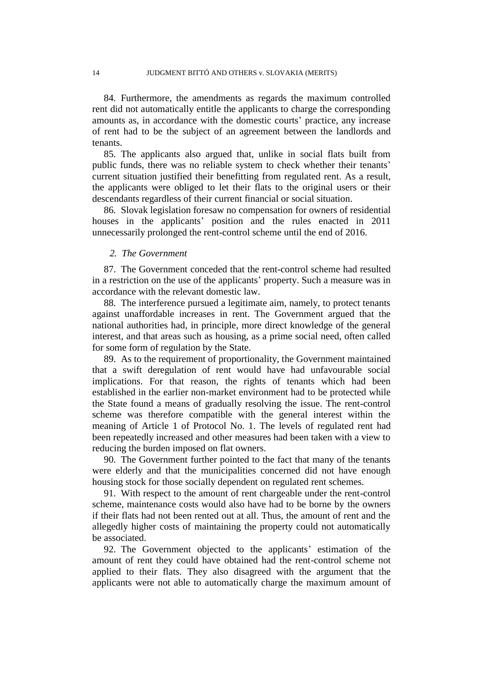84. Furthermore, the amendments as regards the maximum controlled rent did not automatically entitle the applicants to charge the corresponding amounts as, in accordance with the domestic courts' practice, any increase of rent had to be the subject of an agreement between the landlords and tenants.

85. The applicants also argued that, unlike in social flats built from public funds, there was no reliable system to check whether their tenants' current situation justified their benefitting from regulated rent. As a result, the applicants were obliged to let their flats to the original users or their descendants regardless of their current financial or social situation.

86. Slovak legislation foresaw no compensation for owners of residential houses in the applicants' position and the rules enacted in 2011 unnecessarily prolonged the rent-control scheme until the end of 2016.

#### *2. The Government*

87. The Government conceded that the rent-control scheme had resulted in a restriction on the use of the applicants' property. Such a measure was in accordance with the relevant domestic law.

88. The interference pursued a legitimate aim, namely, to protect tenants against unaffordable increases in rent. The Government argued that the national authorities had, in principle, more direct knowledge of the general interest, and that areas such as housing, as a prime social need, often called for some form of regulation by the State.

89. As to the requirement of proportionality, the Government maintained that a swift deregulation of rent would have had unfavourable social implications. For that reason, the rights of tenants which had been established in the earlier non-market environment had to be protected while the State found a means of gradually resolving the issue. The rent-control scheme was therefore compatible with the general interest within the meaning of Article 1 of Protocol No. 1. The levels of regulated rent had been repeatedly increased and other measures had been taken with a view to reducing the burden imposed on flat owners.

90. The Government further pointed to the fact that many of the tenants were elderly and that the municipalities concerned did not have enough housing stock for those socially dependent on regulated rent schemes.

91. With respect to the amount of rent chargeable under the rent-control scheme, maintenance costs would also have had to be borne by the owners if their flats had not been rented out at all. Thus, the amount of rent and the allegedly higher costs of maintaining the property could not automatically be associated.

92. The Government objected to the applicants' estimation of the amount of rent they could have obtained had the rent-control scheme not applied to their flats. They also disagreed with the argument that the applicants were not able to automatically charge the maximum amount of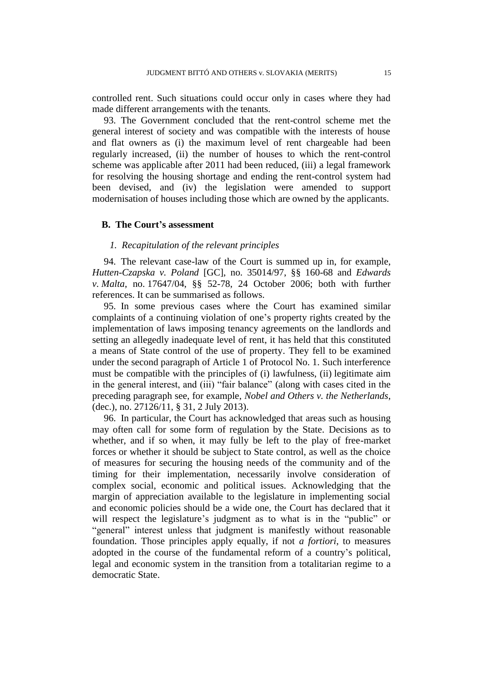controlled rent. Such situations could occur only in cases where they had made different arrangements with the tenants.

93. The Government concluded that the rent-control scheme met the general interest of society and was compatible with the interests of house and flat owners as (i) the maximum level of rent chargeable had been regularly increased, (ii) the number of houses to which the rent-control scheme was applicable after 2011 had been reduced, (iii) a legal framework for resolving the housing shortage and ending the rent-control system had been devised, and (iv) the legislation were amended to support modernisation of houses including those which are owned by the applicants.

#### **B. The Court's assessment**

#### *1. Recapitulation of the relevant principles*

94. The relevant case-law of the Court is summed up in, for example, *Hutten-Czapska v. Poland* [GC], no. 35014/97, §§ 160-68 and *Edwards v. Malta*, no. 17647/04, §§ 52-78, 24 October 2006; both with further references. It can be summarised as follows.

95. In some previous cases where the Court has examined similar complaints of a continuing violation of one's property rights created by the implementation of laws imposing tenancy agreements on the landlords and setting an allegedly inadequate level of rent, it has held that this constituted a means of State control of the use of property. They fell to be examined under the second paragraph of Article 1 of Protocol No. 1. Such interference must be compatible with the principles of (i) lawfulness, (ii) legitimate aim in the general interest, and (iii) "fair balance" (along with cases cited in the preceding paragraph see, for example, *Nobel and Others v. the Netherlands*, (dec.), no. 27126/11, § 31, 2 July 2013).

96. In particular, the Court has acknowledged that areas such as housing may often call for some form of regulation by the State. Decisions as to whether, and if so when, it may fully be left to the play of free-market forces or whether it should be subject to State control, as well as the choice of measures for securing the housing needs of the community and of the timing for their implementation, necessarily involve consideration of complex social, economic and political issues. Acknowledging that the margin of appreciation available to the legislature in implementing social and economic policies should be a wide one, the Court has declared that it will respect the legislature's judgment as to what is in the "public" or "general" interest unless that judgment is manifestly without reasonable foundation. Those principles apply equally, if not *a fortiori*, to measures adopted in the course of the fundamental reform of a country's political, legal and economic system in the transition from a totalitarian regime to a democratic State.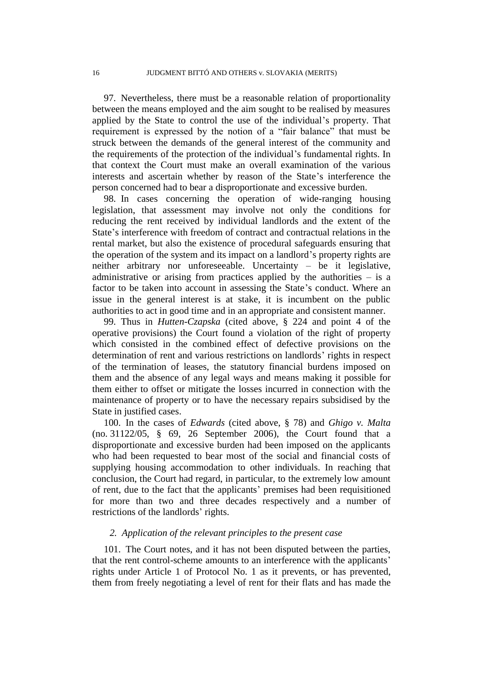97. Nevertheless, there must be a reasonable relation of proportionality between the means employed and the aim sought to be realised by measures applied by the State to control the use of the individual's property. That requirement is expressed by the notion of a "fair balance" that must be struck between the demands of the general interest of the community and the requirements of the protection of the individual's fundamental rights. In that context the Court must make an overall examination of the various interests and ascertain whether by reason of the State's interference the person concerned had to bear a disproportionate and excessive burden.

98. In cases concerning the operation of wide-ranging housing legislation, that assessment may involve not only the conditions for reducing the rent received by individual landlords and the extent of the State's interference with freedom of contract and contractual relations in the rental market, but also the existence of procedural safeguards ensuring that the operation of the system and its impact on a landlord's property rights are neither arbitrary nor unforeseeable. Uncertainty – be it legislative, administrative or arising from practices applied by the authorities  $-$  is a factor to be taken into account in assessing the State's conduct. Where an issue in the general interest is at stake, it is incumbent on the public authorities to act in good time and in an appropriate and consistent manner.

99. Thus in *Hutten-Czapska* (cited above, § 224 and point 4 of the operative provisions) the Court found a violation of the right of property which consisted in the combined effect of defective provisions on the determination of rent and various restrictions on landlords' rights in respect of the termination of leases, the statutory financial burdens imposed on them and the absence of any legal ways and means making it possible for them either to offset or mitigate the losses incurred in connection with the maintenance of property or to have the necessary repairs subsidised by the State in justified cases.

100. In the cases of *Edwards* (cited above, § 78) and *Ghigo v. Malta* (no. 31122/05, § 69, 26 September 2006), the Court found that a disproportionate and excessive burden had been imposed on the applicants who had been requested to bear most of the social and financial costs of supplying housing accommodation to other individuals. In reaching that conclusion, the Court had regard, in particular, to the extremely low amount of rent, due to the fact that the applicants' premises had been requisitioned for more than two and three decades respectively and a number of restrictions of the landlords' rights.

#### *2. Application of the relevant principles to the present case*

101. The Court notes, and it has not been disputed between the parties, that the rent control-scheme amounts to an interference with the applicants' rights under Article 1 of Protocol No. 1 as it prevents, or has prevented, them from freely negotiating a level of rent for their flats and has made the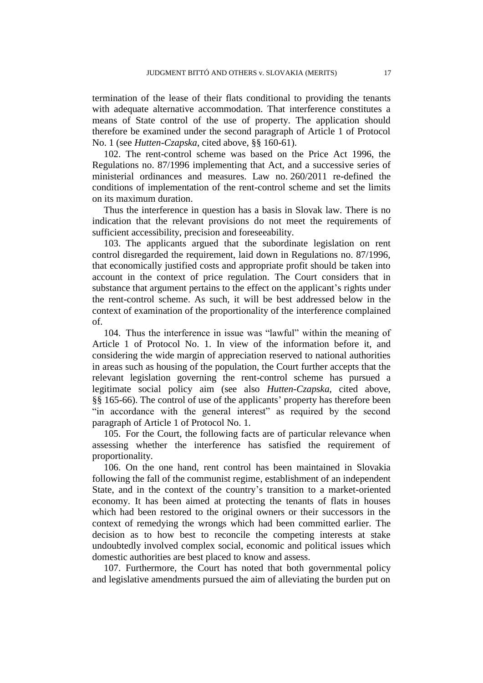termination of the lease of their flats conditional to providing the tenants with adequate alternative accommodation. That interference constitutes a means of State control of the use of property. The application should therefore be examined under the second paragraph of Article 1 of Protocol No. 1 (see *Hutten-Czapska*, cited above, §§ 160-61).

102. The rent-control scheme was based on the Price Act 1996, the Regulations no. 87/1996 implementing that Act, and a successive series of ministerial ordinances and measures. Law no. 260/2011 re-defined the conditions of implementation of the rent-control scheme and set the limits on its maximum duration.

Thus the interference in question has a basis in Slovak law. There is no indication that the relevant provisions do not meet the requirements of sufficient accessibility, precision and foreseeability.

103. The applicants argued that the subordinate legislation on rent control disregarded the requirement, laid down in Regulations no. 87/1996, that economically justified costs and appropriate profit should be taken into account in the context of price regulation. The Court considers that in substance that argument pertains to the effect on the applicant's rights under the rent-control scheme. As such, it will be best addressed below in the context of examination of the proportionality of the interference complained of.

104. Thus the interference in issue was "lawful" within the meaning of Article 1 of Protocol No. 1. In view of the information before it, and considering the wide margin of appreciation reserved to national authorities in areas such as housing of the population, the Court further accepts that the relevant legislation governing the rent-control scheme has pursued a legitimate social policy aim (see also *Hutten-Czapska*, cited above, §§ 165-66). The control of use of the applicants' property has therefore been "in accordance with the general interest" as required by the second paragraph of Article 1 of Protocol No. 1.

105. For the Court, the following facts are of particular relevance when assessing whether the interference has satisfied the requirement of proportionality.

106. On the one hand, rent control has been maintained in Slovakia following the fall of the communist regime, establishment of an independent State, and in the context of the country's transition to a market-oriented economy. It has been aimed at protecting the tenants of flats in houses which had been restored to the original owners or their successors in the context of remedying the wrongs which had been committed earlier. The decision as to how best to reconcile the competing interests at stake undoubtedly involved complex social, economic and political issues which domestic authorities are best placed to know and assess.

107. Furthermore, the Court has noted that both governmental policy and legislative amendments pursued the aim of alleviating the burden put on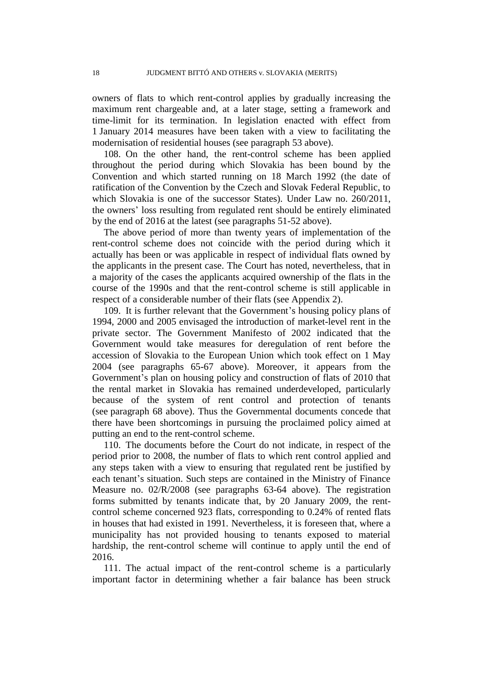owners of flats to which rent-control applies by gradually increasing the maximum rent chargeable and, at a later stage, setting a framework and time-limit for its termination. In legislation enacted with effect from 1 January 2014 measures have been taken with a view to facilitating the modernisation of residential houses (see paragraph 53 above).

108. On the other hand, the rent-control scheme has been applied throughout the period during which Slovakia has been bound by the Convention and which started running on 18 March 1992 (the date of ratification of the Convention by the Czech and Slovak Federal Republic, to which Slovakia is one of the successor States). Under Law no. 260/2011, the owners' loss resulting from regulated rent should be entirely eliminated by the end of 2016 at the latest (see paragraphs 51-52 above).

The above period of more than twenty years of implementation of the rent-control scheme does not coincide with the period during which it actually has been or was applicable in respect of individual flats owned by the applicants in the present case. The Court has noted, nevertheless, that in a majority of the cases the applicants acquired ownership of the flats in the course of the 1990s and that the rent-control scheme is still applicable in respect of a considerable number of their flats (see Appendix 2).

109. It is further relevant that the Government's housing policy plans of 1994, 2000 and 2005 envisaged the introduction of market-level rent in the private sector. The Government Manifesto of 2002 indicated that the Government would take measures for deregulation of rent before the accession of Slovakia to the European Union which took effect on 1 May 2004 (see paragraphs 65-67 above). Moreover, it appears from the Government's plan on housing policy and construction of flats of 2010 that the rental market in Slovakia has remained underdeveloped, particularly because of the system of rent control and protection of tenants (see paragraph 68 above). Thus the Governmental documents concede that there have been shortcomings in pursuing the proclaimed policy aimed at putting an end to the rent-control scheme.

110. The documents before the Court do not indicate, in respect of the period prior to 2008, the number of flats to which rent control applied and any steps taken with a view to ensuring that regulated rent be justified by each tenant's situation. Such steps are contained in the Ministry of Finance Measure no. 02/R/2008 (see paragraphs 63-64 above). The registration forms submitted by tenants indicate that, by 20 January 2009, the rentcontrol scheme concerned 923 flats, corresponding to 0.24% of rented flats in houses that had existed in 1991. Nevertheless, it is foreseen that, where a municipality has not provided housing to tenants exposed to material hardship, the rent-control scheme will continue to apply until the end of 2016.

111. The actual impact of the rent-control scheme is a particularly important factor in determining whether a fair balance has been struck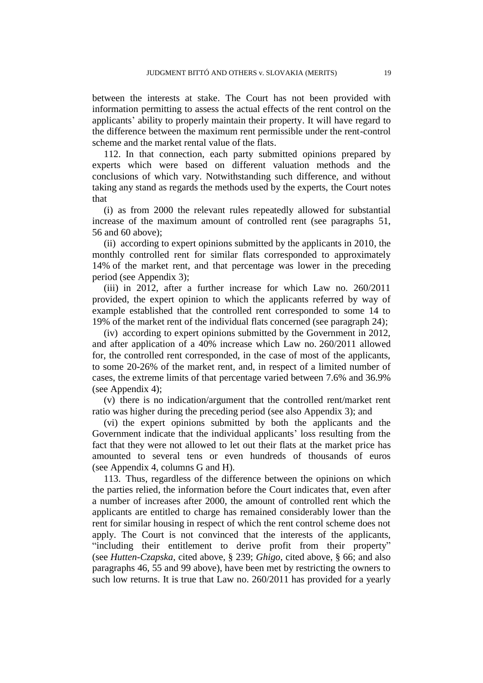between the interests at stake. The Court has not been provided with information permitting to assess the actual effects of the rent control on the applicants' ability to properly maintain their property. It will have regard to the difference between the maximum rent permissible under the rent-control scheme and the market rental value of the flats.

112. In that connection, each party submitted opinions prepared by experts which were based on different valuation methods and the conclusions of which vary. Notwithstanding such difference, and without taking any stand as regards the methods used by the experts, the Court notes that

(i) as from 2000 the relevant rules repeatedly allowed for substantial increase of the maximum amount of controlled rent (see paragraphs 51, 56 and 60 above);

(ii) according to expert opinions submitted by the applicants in 2010, the monthly controlled rent for similar flats corresponded to approximately 14% of the market rent, and that percentage was lower in the preceding period (see Appendix 3);

(iii) in 2012, after a further increase for which Law no. 260/2011 provided, the expert opinion to which the applicants referred by way of example established that the controlled rent corresponded to some 14 to 19% of the market rent of the individual flats concerned (see paragraph 24);

(iv) according to expert opinions submitted by the Government in 2012, and after application of a 40% increase which Law no. 260/2011 allowed for, the controlled rent corresponded, in the case of most of the applicants, to some 20-26% of the market rent, and, in respect of a limited number of cases, the extreme limits of that percentage varied between 7.6% and 36.9% (see Appendix 4);

(v) there is no indication/argument that the controlled rent/market rent ratio was higher during the preceding period (see also Appendix 3); and

(vi) the expert opinions submitted by both the applicants and the Government indicate that the individual applicants' loss resulting from the fact that they were not allowed to let out their flats at the market price has amounted to several tens or even hundreds of thousands of euros (see Appendix 4, columns G and H).

113. Thus, regardless of the difference between the opinions on which the parties relied, the information before the Court indicates that, even after a number of increases after 2000, the amount of controlled rent which the applicants are entitled to charge has remained considerably lower than the rent for similar housing in respect of which the rent control scheme does not apply. The Court is not convinced that the interests of the applicants, "including their entitlement to derive profit from their property" (see *Hutten-Czapska*, cited above, § 239; *Ghigo*, cited above, § 66; and also paragraphs 46, 55 and 99 above), have been met by restricting the owners to such low returns. It is true that Law no. 260/2011 has provided for a yearly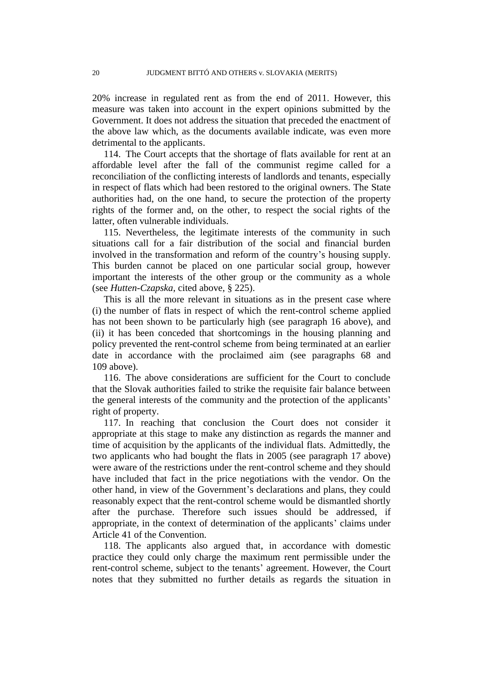20% increase in regulated rent as from the end of 2011. However, this measure was taken into account in the expert opinions submitted by the Government. It does not address the situation that preceded the enactment of the above law which, as the documents available indicate, was even more detrimental to the applicants.

114. The Court accepts that the shortage of flats available for rent at an affordable level after the fall of the communist regime called for a reconciliation of the conflicting interests of landlords and tenants, especially in respect of flats which had been restored to the original owners. The State authorities had, on the one hand, to secure the protection of the property rights of the former and, on the other, to respect the social rights of the latter, often vulnerable individuals.

115. Nevertheless, the legitimate interests of the community in such situations call for a fair distribution of the social and financial burden involved in the transformation and reform of the country's housing supply. This burden cannot be placed on one particular social group, however important the interests of the other group or the community as a whole (see *Hutten-Czapska*, cited above, § 225).

This is all the more relevant in situations as in the present case where (i) the number of flats in respect of which the rent-control scheme applied has not been shown to be particularly high (see paragraph 16 above), and (ii) it has been conceded that shortcomings in the housing planning and policy prevented the rent-control scheme from being terminated at an earlier date in accordance with the proclaimed aim (see paragraphs 68 and 109 above).

116. The above considerations are sufficient for the Court to conclude that the Slovak authorities failed to strike the requisite fair balance between the general interests of the community and the protection of the applicants' right of property.

117. In reaching that conclusion the Court does not consider it appropriate at this stage to make any distinction as regards the manner and time of acquisition by the applicants of the individual flats. Admittedly, the two applicants who had bought the flats in 2005 (see paragraph 17 above) were aware of the restrictions under the rent-control scheme and they should have included that fact in the price negotiations with the vendor. On the other hand, in view of the Government's declarations and plans, they could reasonably expect that the rent-control scheme would be dismantled shortly after the purchase. Therefore such issues should be addressed, if appropriate, in the context of determination of the applicants' claims under Article 41 of the Convention.

118. The applicants also argued that, in accordance with domestic practice they could only charge the maximum rent permissible under the rent-control scheme, subject to the tenants' agreement. However, the Court notes that they submitted no further details as regards the situation in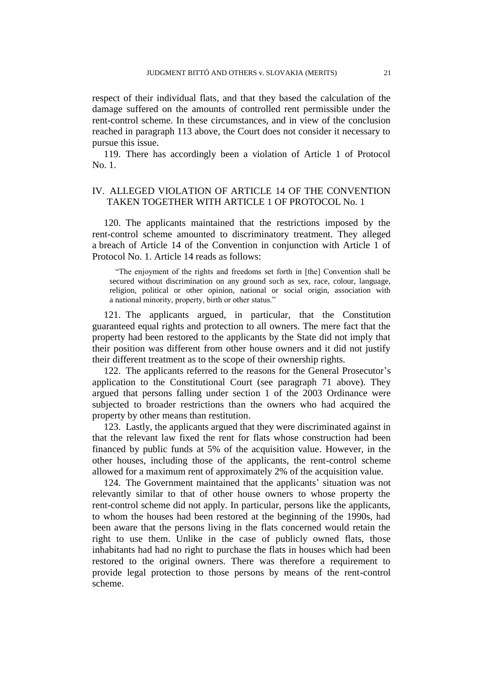respect of their individual flats, and that they based the calculation of the damage suffered on the amounts of controlled rent permissible under the rent-control scheme. In these circumstances, and in view of the conclusion reached in paragraph 113 above, the Court does not consider it necessary to pursue this issue.

119. There has accordingly been a violation of Article 1 of Protocol No. 1.

## IV. ALLEGED VIOLATION OF ARTICLE 14 OF THE CONVENTION TAKEN TOGETHER WITH ARTICLE 1 OF PROTOCOL No. 1

120. The applicants maintained that the restrictions imposed by the rent-control scheme amounted to discriminatory treatment. They alleged a breach of Article 14 of the Convention in conjunction with Article 1 of Protocol No. 1. Article 14 reads as follows:

"The enjoyment of the rights and freedoms set forth in [the] Convention shall be secured without discrimination on any ground such as sex, race, colour, language, religion, political or other opinion, national or social origin, association with a national minority, property, birth or other status."

121. The applicants argued, in particular, that the Constitution guaranteed equal rights and protection to all owners. The mere fact that the property had been restored to the applicants by the State did not imply that their position was different from other house owners and it did not justify their different treatment as to the scope of their ownership rights.

122. The applicants referred to the reasons for the General Prosecutor's application to the Constitutional Court (see paragraph 71 above). They argued that persons falling under section 1 of the 2003 Ordinance were subjected to broader restrictions than the owners who had acquired the property by other means than restitution.

123. Lastly, the applicants argued that they were discriminated against in that the relevant law fixed the rent for flats whose construction had been financed by public funds at 5% of the acquisition value. However, in the other houses, including those of the applicants, the rent-control scheme allowed for a maximum rent of approximately 2% of the acquisition value.

124. The Government maintained that the applicants' situation was not relevantly similar to that of other house owners to whose property the rent-control scheme did not apply. In particular, persons like the applicants, to whom the houses had been restored at the beginning of the 1990s, had been aware that the persons living in the flats concerned would retain the right to use them. Unlike in the case of publicly owned flats, those inhabitants had had no right to purchase the flats in houses which had been restored to the original owners. There was therefore a requirement to provide legal protection to those persons by means of the rent-control scheme.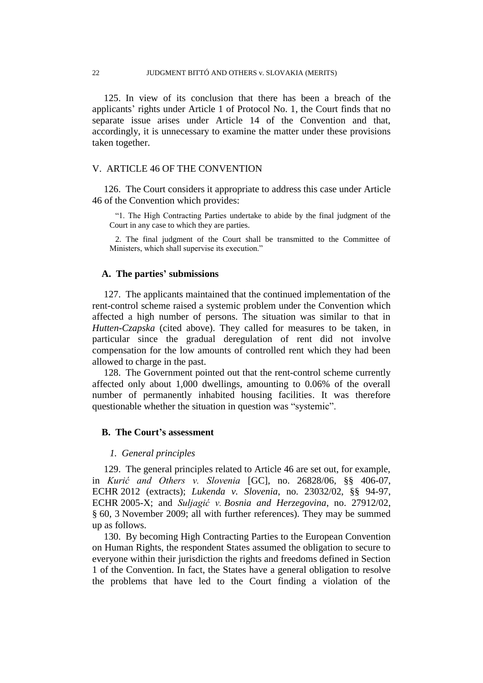125. In view of its conclusion that there has been a breach of the applicants' rights under Article 1 of Protocol No. 1, the Court finds that no separate issue arises under Article 14 of the Convention and that, accordingly, it is unnecessary to examine the matter under these provisions taken together.

#### V. ARTICLE 46 OF THE CONVENTION

126. The Court considers it appropriate to address this case under Article 46 of the Convention which provides:

"1. The High Contracting Parties undertake to abide by the final judgment of the Court in any case to which they are parties.

2. The final judgment of the Court shall be transmitted to the Committee of Ministers, which shall supervise its execution."

#### **A. The parties' submissions**

127. The applicants maintained that the continued implementation of the rent-control scheme raised a systemic problem under the Convention which affected a high number of persons. The situation was similar to that in *Hutten-Czapska* (cited above). They called for measures to be taken, in particular since the gradual deregulation of rent did not involve compensation for the low amounts of controlled rent which they had been allowed to charge in the past.

128. The Government pointed out that the rent-control scheme currently affected only about 1,000 dwellings, amounting to 0.06% of the overall number of permanently inhabited housing facilities. It was therefore questionable whether the situation in question was "systemic".

#### **B. The Court's assessment**

#### *1. General principles*

129. The general principles related to Article 46 are set out, for example, in *Kurić and Others v. Slovenia* [GC], no. 26828/06, §§ 406-07, ECHR 2012 (extracts); *Lukenda v. Slovenia*, no. 23032/02, §§ 94-97, ECHR 2005-X; and *Suljagić v. Bosnia and Herzegovina*, no. 27912/02, § 60, 3 November 2009; all with further references). They may be summed up as follows.

130. By becoming High Contracting Parties to the European Convention on Human Rights, the respondent States assumed the obligation to secure to everyone within their jurisdiction the rights and freedoms defined in Section 1 of the Convention. In fact, the States have a general obligation to resolve the problems that have led to the Court finding a violation of the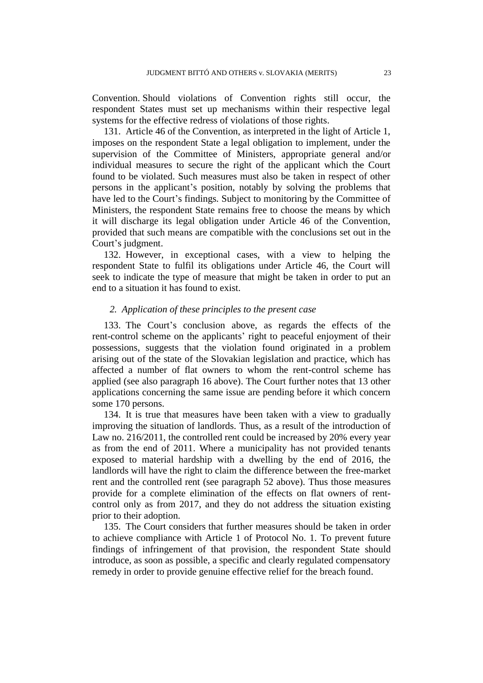Convention. Should violations of Convention rights still occur, the respondent States must set up mechanisms within their respective legal systems for the effective redress of violations of those rights.

131. Article 46 of the Convention, as interpreted in the light of Article 1, imposes on the respondent State a legal obligation to implement, under the supervision of the Committee of Ministers, appropriate general and/or individual measures to secure the right of the applicant which the Court found to be violated. Such measures must also be taken in respect of other persons in the applicant's position, notably by solving the problems that have led to the Court's findings. Subject to monitoring by the Committee of Ministers, the respondent State remains free to choose the means by which it will discharge its legal obligation under Article 46 of the Convention, provided that such means are compatible with the conclusions set out in the Court's judgment.

132. However, in exceptional cases, with a view to helping the respondent State to fulfil its obligations under Article 46, the Court will seek to indicate the type of measure that might be taken in order to put an end to a situation it has found to exist.

#### *2. Application of these principles to the present case*

133. The Court's conclusion above, as regards the effects of the rent-control scheme on the applicants' right to peaceful enjoyment of their possessions, suggests that the violation found originated in a problem arising out of the state of the Slovakian legislation and practice, which has affected a number of flat owners to whom the rent-control scheme has applied (see also paragraph 16 above). The Court further notes that 13 other applications concerning the same issue are pending before it which concern some 170 persons.

134. It is true that measures have been taken with a view to gradually improving the situation of landlords. Thus, as a result of the introduction of Law no. 216/2011, the controlled rent could be increased by 20% every year as from the end of 2011. Where a municipality has not provided tenants exposed to material hardship with a dwelling by the end of 2016, the landlords will have the right to claim the difference between the free-market rent and the controlled rent (see paragraph 52 above). Thus those measures provide for a complete elimination of the effects on flat owners of rentcontrol only as from 2017, and they do not address the situation existing prior to their adoption.

135. The Court considers that further measures should be taken in order to achieve compliance with Article 1 of Protocol No. 1. To prevent future findings of infringement of that provision, the respondent State should introduce, as soon as possible, a specific and clearly regulated compensatory remedy in order to provide genuine effective relief for the breach found.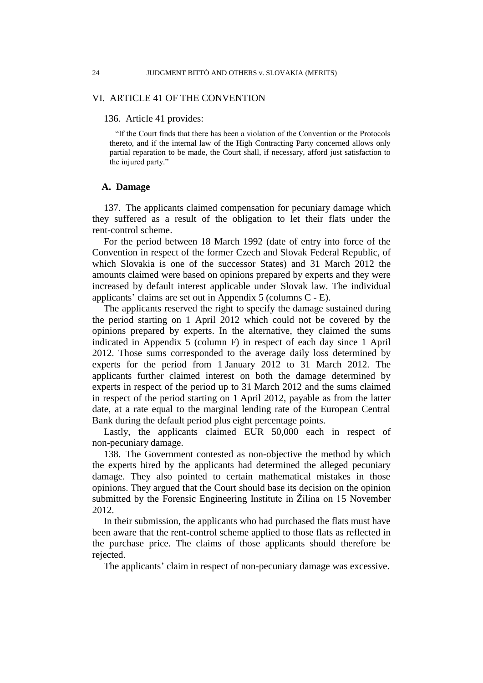#### VI. ARTICLE 41 OF THE CONVENTION

#### 136. Article 41 provides:

"If the Court finds that there has been a violation of the Convention or the Protocols thereto, and if the internal law of the High Contracting Party concerned allows only partial reparation to be made, the Court shall, if necessary, afford just satisfaction to the injured party."

#### **A. Damage**

137. The applicants claimed compensation for pecuniary damage which they suffered as a result of the obligation to let their flats under the rent-control scheme.

For the period between 18 March 1992 (date of entry into force of the Convention in respect of the former Czech and Slovak Federal Republic, of which Slovakia is one of the successor States) and 31 March 2012 the amounts claimed were based on opinions prepared by experts and they were increased by default interest applicable under Slovak law. The individual applicants' claims are set out in Appendix 5 (columns C - E).

The applicants reserved the right to specify the damage sustained during the period starting on 1 April 2012 which could not be covered by the opinions prepared by experts. In the alternative, they claimed the sums indicated in Appendix 5 (column F) in respect of each day since 1 April 2012. Those sums corresponded to the average daily loss determined by experts for the period from 1 January 2012 to 31 March 2012. The applicants further claimed interest on both the damage determined by experts in respect of the period up to 31 March 2012 and the sums claimed in respect of the period starting on 1 April 2012, payable as from the latter date, at a rate equal to the marginal lending rate of the European Central Bank during the default period plus eight percentage points.

Lastly, the applicants claimed EUR 50,000 each in respect of non-pecuniary damage.

138. The Government contested as non-objective the method by which the experts hired by the applicants had determined the alleged pecuniary damage. They also pointed to certain mathematical mistakes in those opinions. They argued that the Court should base its decision on the opinion submitted by the Forensic Engineering Institute in Žilina on 15 November 2012.

In their submission, the applicants who had purchased the flats must have been aware that the rent-control scheme applied to those flats as reflected in the purchase price. The claims of those applicants should therefore be rejected.

The applicants' claim in respect of non-pecuniary damage was excessive.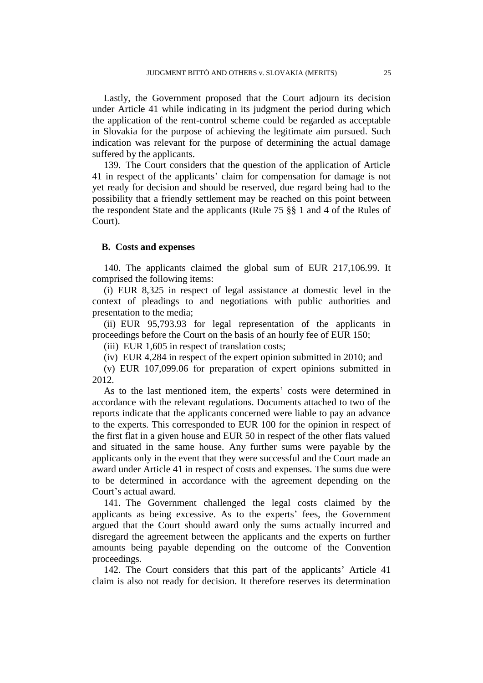Lastly, the Government proposed that the Court adjourn its decision under Article 41 while indicating in its judgment the period during which the application of the rent-control scheme could be regarded as acceptable in Slovakia for the purpose of achieving the legitimate aim pursued. Such indication was relevant for the purpose of determining the actual damage suffered by the applicants.

139. The Court considers that the question of the application of Article 41 in respect of the applicants' claim for compensation for damage is not yet ready for decision and should be reserved, due regard being had to the possibility that a friendly settlement may be reached on this point between the respondent State and the applicants (Rule 75 §§ 1 and 4 of the Rules of Court).

#### **B. Costs and expenses**

140. The applicants claimed the global sum of EUR 217,106.99. It comprised the following items:

(i) EUR 8,325 in respect of legal assistance at domestic level in the context of pleadings to and negotiations with public authorities and presentation to the media;

(ii) EUR 95,793.93 for legal representation of the applicants in proceedings before the Court on the basis of an hourly fee of EUR 150;

(iii) EUR 1,605 in respect of translation costs;

(iv) EUR 4,284 in respect of the expert opinion submitted in 2010; and

(v) EUR 107,099.06 for preparation of expert opinions submitted in 2012.

As to the last mentioned item, the experts' costs were determined in accordance with the relevant regulations. Documents attached to two of the reports indicate that the applicants concerned were liable to pay an advance to the experts. This corresponded to EUR 100 for the opinion in respect of the first flat in a given house and EUR 50 in respect of the other flats valued and situated in the same house. Any further sums were payable by the applicants only in the event that they were successful and the Court made an award under Article 41 in respect of costs and expenses. The sums due were to be determined in accordance with the agreement depending on the Court's actual award.

141. The Government challenged the legal costs claimed by the applicants as being excessive. As to the experts' fees, the Government argued that the Court should award only the sums actually incurred and disregard the agreement between the applicants and the experts on further amounts being payable depending on the outcome of the Convention proceedings.

142. The Court considers that this part of the applicants' Article 41 claim is also not ready for decision. It therefore reserves its determination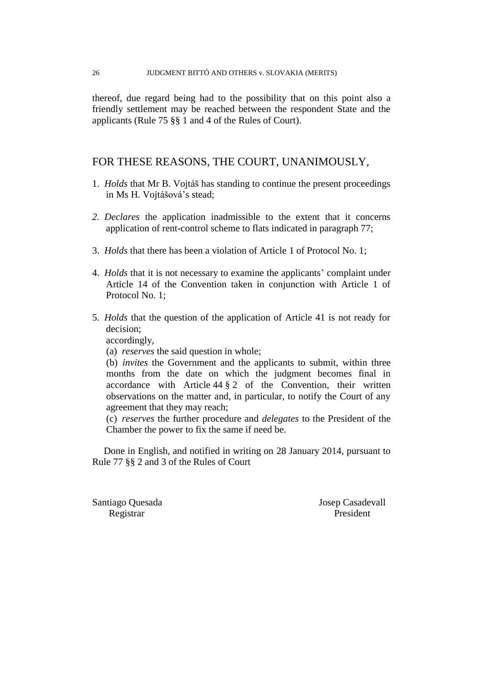thereof, due regard being had to the possibility that on this point also a friendly settlement may be reached between the respondent State and the applicants (Rule 75 §§ 1 and 4 of the Rules of Court).

## FOR THESE REASONS, THE COURT, UNANIMOUSLY,

- 1. *Holds* that Mr B. Vojtáš has standing to continue the present proceedings in Ms H. Vojtášová's stead;
- *2. Declares* the application inadmissible to the extent that it concerns application of rent-control scheme to flats indicated in paragraph 77;
- 3. *Holds* that there has been a violation of Article 1 of Protocol No. 1;
- 4. *Holds* that it is not necessary to examine the applicants' complaint under Article 14 of the Convention taken in conjunction with Article 1 of Protocol No. 1;
- 5. *Holds* that the question of the application of Article 41 is not ready for decision;

accordingly,

(a) *reserves* the said question in whole;

(b) *invites* the Government and the applicants to submit, within three months from the date on which the judgment becomes final in accordance with Article 44 § 2 of the Convention, their written observations on the matter and, in particular, to notify the Court of any agreement that they may reach;

(c) *reserves* the further procedure and *delegates* to the President of the Chamber the power to fix the same if need be.

Done in English, and notified in writing on 28 January 2014, pursuant to Rule 77 §§ 2 and 3 of the Rules of Court

Santiago Ouesada Josep Casadevall Registrar President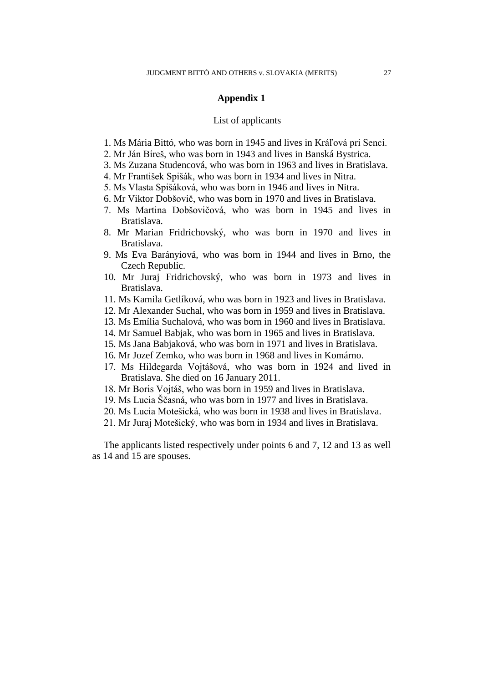#### **Appendix 1**

#### List of applicants

- 1. Ms Mária Bittó, who was born in 1945 and lives in Kráľová pri Senci.
- 2. Mr Ján Bíreš, who was born in 1943 and lives in Banská Bystrica.
- 3. Ms Zuzana Studencová, who was born in 1963 and lives in Bratislava.
- 4. Mr František Spišák, who was born in 1934 and lives in Nitra.
- 5. Ms Vlasta Spišáková, who was born in 1946 and lives in Nitra.
- 6. Mr Viktor Dobšovič, who was born in 1970 and lives in Bratislava.
- 7. Ms Martina Dobšovičová, who was born in 1945 and lives in Bratislava.
- 8. Mr Marian Fridrichovský, who was born in 1970 and lives in Bratislava.
- 9. Ms Eva Barányiová, who was born in 1944 and lives in Brno, the Czech Republic.
- 10. Mr Juraj Fridrichovský, who was born in 1973 and lives in Bratislava.
- 11. Ms Kamila Getlíková, who was born in 1923 and lives in Bratislava.
- 12. Mr Alexander Suchal, who was born in 1959 and lives in Bratislava.
- 13. Ms Emília Suchalová, who was born in 1960 and lives in Bratislava.
- 14. Mr Samuel Babjak, who was born in 1965 and lives in Bratislava.
- 15. Ms Jana Babjaková, who was born in 1971 and lives in Bratislava.
- 16. Mr Jozef Zemko, who was born in 1968 and lives in Komárno.
- 17. Ms Hildegarda Vojtášová, who was born in 1924 and lived in Bratislava. She died on 16 January 2011.
- 18. Mr Boris Vojtáš, who was born in 1959 and lives in Bratislava.
- 19. Ms Lucia Ščasná, who was born in 1977 and lives in Bratislava.
- 20. Ms Lucia Motešická, who was born in 1938 and lives in Bratislava.
- 21. Mr Juraj Motešický, who was born in 1934 and lives in Bratislava.

The applicants listed respectively under points 6 and 7, 12 and 13 as well as 14 and 15 are spouses.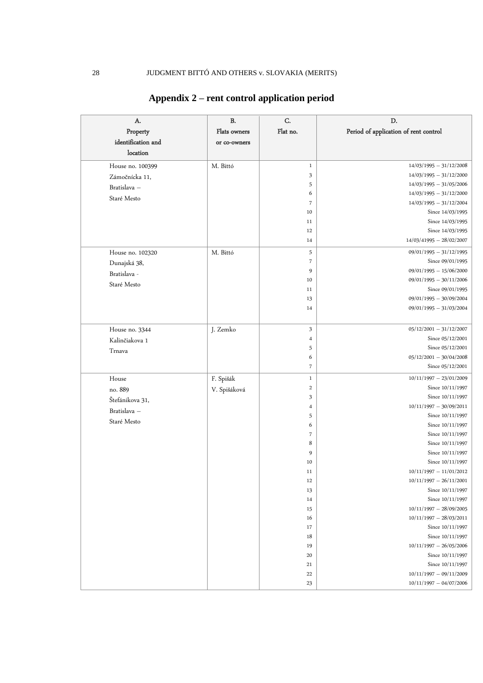| A.                 | <b>B.</b>    | C.                       | D.                                    |
|--------------------|--------------|--------------------------|---------------------------------------|
| Property           | Flats owners | Flat no.                 | Period of application of rent control |
| identification and | or co-owners |                          |                                       |
| location           |              |                          |                                       |
|                    |              |                          |                                       |
| House no. 100399   | M. Bittó     | $\,1$                    | $14/03/1995 - 31/12/2008$             |
| Zámočnícka 11,     |              | 3                        | $14/03/1995 - 31/12/2000$             |
| Bratislava -       |              | 5                        | $14/03/1995 - 31/05/2006$             |
| Staré Mesto        |              | 6                        | $14/03/1995 - 31/12/2000$             |
|                    |              | 7                        | $14/03/1995 - 31/12/2004$             |
|                    |              | 10<br>11                 | Since 14/03/1995<br>Since 14/03/1995  |
|                    |              | 12                       | Since 14/03/1995                      |
|                    |              | 14                       | $14/03/41995 - 28/02/2007$            |
|                    |              |                          | $09/01/1995 - 31/12/1995$             |
| House no. 102320   | M. Bittó     | 5<br>$\overline{7}$      | Since 09/01/1995                      |
| Dunajská 38,       |              |                          | $09/01/1995 - 15/06/2000$             |
| Bratislava -       |              | 9                        | $09/01/1995 - 30/11/2006$             |
| Staré Mesto        |              | 10<br>11                 | Since 09/01/1995                      |
|                    |              | 13                       | $09/01/1995 - 30/09/2004$             |
|                    |              | 14                       | $09/01/1995 - 31/03/2004$             |
|                    |              |                          |                                       |
| House no. 3344     | J. Zemko     | 3                        | $05/12/2001 - 31/12/2007$             |
|                    |              | 4                        | Since 05/12/2001                      |
| Kalinčiakova 1     |              | 5                        | Since 05/12/2001                      |
| Trnava             |              | 6                        | $05/12/2001 - 30/04/2008$             |
|                    |              | $\overline{\phantom{a}}$ | Since 05/12/2001                      |
| House              | F. Spišák    | $\,1$                    | $10/11/1997 - 23/01/2009$             |
| no. 889            |              | $\,2$                    | Since 10/11/1997                      |
|                    | V. Spišáková | 3                        | Since 10/11/1997                      |
| Štefánikova 31,    |              | 4                        | $10/11/1997 - 30/09/2011$             |
| Bratislava -       |              | 5                        | Since 10/11/1997                      |
| Staré Mesto        |              | 6                        | Since 10/11/1997                      |
|                    |              | $\overline{\phantom{a}}$ | Since 10/11/1997                      |
|                    |              | 8                        | Since 10/11/1997                      |
|                    |              | 9                        | Since 10/11/1997                      |
|                    |              | 10                       | Since 10/11/1997                      |
|                    |              | 11                       | $10/11/1997 - 11/01/2012$             |
|                    |              | 12                       | $10/11/1997 - 26/11/2001$             |
|                    |              | 13                       | Since 10/11/1997                      |
|                    |              | 14                       | Since 10/11/1997                      |
|                    |              | 15                       | $10/11/1997 - 28/09/2005$             |
|                    |              | 16                       | $10/11/1997 - 28/03/2011$             |
|                    |              | 17                       | Since 10/11/1997                      |
|                    |              | 18                       | Since 10/11/1997                      |
|                    |              | 19                       | $10/11/1997 - 26/05/2006$             |
|                    |              | 20                       | Since 10/11/1997                      |
|                    |              | 21                       | Since 10/11/1997                      |
|                    |              | 22                       | $10/11/1997 - 09/11/2009$             |
|                    |              | $23\,$                   | $10/11/1997 - 04/07/2006$             |

# **Appendix 2 – rent control application period**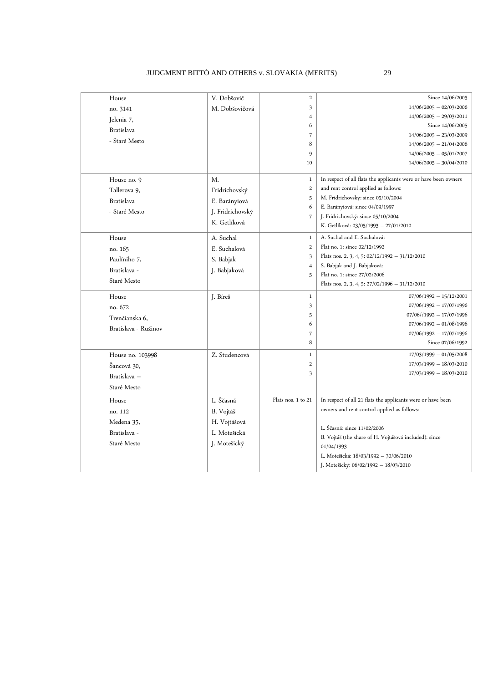### JUDGMENT BITTÓ AND OTHERS v. SLOVAKIA (MERITS) 29

| House             |                      | V. Dobšovič                                  | $\overline{c}$          | Since 14/06/2005                                                |
|-------------------|----------------------|----------------------------------------------|-------------------------|-----------------------------------------------------------------|
| no. 3141          |                      | M. Dobšovičová                               | 3                       | $14/06/2005 - 02/03/2006$                                       |
| Jelenia 7,        |                      |                                              | 4                       | $14/06/2005 - 29/03/2011$                                       |
| <b>Bratislava</b> |                      |                                              | 6                       | Since 14/06/2005                                                |
| - Staré Mesto     |                      |                                              | 7                       | $14/06/2005 - 23/03/2009$                                       |
|                   |                      |                                              | 8                       | $14/06/2005 - 21/04/2006$                                       |
|                   |                      |                                              | 9                       | $14/06/2005 - 05/01/2007$                                       |
|                   |                      |                                              | 10                      | $14/06/2005 - 30/04/2010$                                       |
| House no. 9       |                      | M.                                           | $\,1$                   | In respect of all flats the applicants were or have been owners |
| Tallerova 9,      |                      | Fridrichovský                                | $\overline{\mathbf{c}}$ | and rent control applied as follows:                            |
| <b>Bratislava</b> |                      | E. Barányiová                                | 5                       | M. Fridrichovský: since 05/10/2004                              |
| - Staré Mesto     |                      | J. Fridrichovský                             | 6                       | E. Barányiová: since 04/09/1997                                 |
|                   |                      | K. Getlíková                                 | $\overline{7}$          | J. Fridrichovský: since 05/10/2004                              |
|                   |                      |                                              |                         | K. Getlíková: 03/05/1993 - 27/01/2010                           |
| House             |                      | A. Suchal                                    | $\mathbf{1}$            | A. Suchal and E. Suchalová:                                     |
| no. 165           |                      | E. Suchalová                                 | $\overline{2}$          | Flat no. 1: since 02/12/1992                                    |
| Paulíniho 7,      |                      | S. Babjak                                    | 3                       | Flats nos. 2, 3, 4, 5: $02/12/1992 - 31/12/2010$                |
| Bratislava -      |                      | J. Babjaková                                 | 4                       | S. Babjak and J. Babjaková:                                     |
| Staré Mesto       |                      |                                              | 5                       | Flat no. 1: since 27/02/2006                                    |
|                   |                      |                                              |                         | Flats nos. 2, 3, 4, 5: $27/02/1996 - 31/12/2010$                |
| House             |                      | J. Bíreš                                     | $\,1$                   | $07/06/1992 - 15/12/2001$                                       |
| no. 672           |                      |                                              | 3                       | $07/06/1992 - 17/07/1996$                                       |
| Trenčianska 6,    |                      |                                              | 5                       | $07/06//1992 - 17/07/1996$                                      |
|                   | Bratislava - Ružinov |                                              | 6                       | $07/06/1992 - 01/08/1996$                                       |
|                   |                      |                                              | 7                       | $07/06/1992 - 17/07/1996$                                       |
|                   |                      |                                              | 8                       | Since 07/06/1992                                                |
| House no. 103998  |                      | Z. Studencová                                | $\mathbf{1}$            | $17/03/1999 - 01/05/2008$                                       |
| Šancová 30,       |                      |                                              | $\overline{2}$          | $17/03/1999 - 18/03/2010$                                       |
| Bratislava -      |                      |                                              | 3                       | $17/03/1999 - 18/03/2010$                                       |
| Staré Mesto       |                      |                                              |                         |                                                                 |
| House             |                      | L. Ščasná                                    | Flats nos. 1 to 21      | In respect of all 21 flats the applicants were or have been     |
| no. 112           |                      | B. Vojtáš                                    |                         | owners and rent control applied as follows:                     |
| Medená 35,        |                      | H. Vojtášová<br>L. Motešická<br>J. Motešický |                         |                                                                 |
| Bratislava -      |                      |                                              |                         | L. Ščasná: since 11/02/2006                                     |
| Staré Mesto       |                      |                                              |                         | B. Vojtáš (the share of H. Vojtášová included): since           |
|                   |                      |                                              |                         | 01/04/1993                                                      |
|                   |                      |                                              |                         | L. Motešická: 18/03/1992 - 30/06/2010                           |
|                   |                      |                                              |                         | J. Motešický: 06/02/1992 - 18/03/2010                           |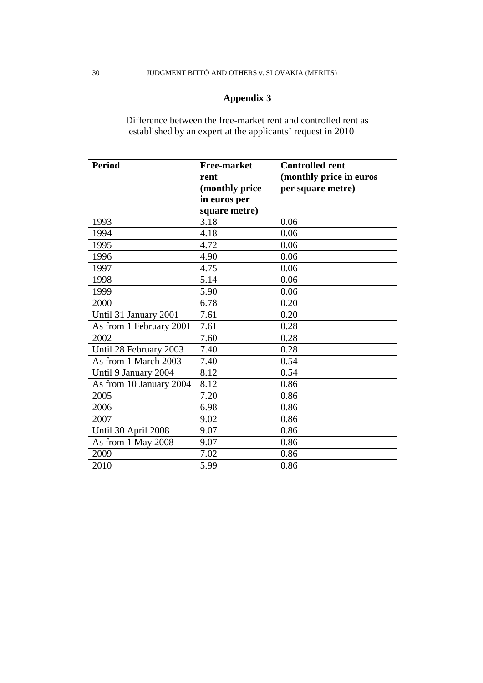# **Appendix 3**

Difference between the free-market rent and controlled rent as established by an expert at the applicants' request in 2010

| <b>Period</b>           | <b>Free-market</b> | <b>Controlled rent</b>  |
|-------------------------|--------------------|-------------------------|
|                         | rent               | (monthly price in euros |
|                         | (monthly price     | per square metre)       |
|                         | in euros per       |                         |
|                         | square metre)      |                         |
| 1993                    | 3.18               | 0.06                    |
| 1994                    | 4.18               | 0.06                    |
| 1995                    | 4.72               | 0.06                    |
| 1996                    | 4.90               | 0.06                    |
| 1997                    | 4.75               | 0.06                    |
| 1998                    | 5.14               | 0.06                    |
| 1999                    | 5.90               | 0.06                    |
| 2000                    | 6.78               | 0.20                    |
| Until 31 January 2001   | 7.61               | 0.20                    |
| As from 1 February 2001 | 7.61               | 0.28                    |
| 2002                    | 7.60               | 0.28                    |
| Until 28 February 2003  | 7.40               | 0.28                    |
| As from 1 March 2003    | 7.40               | 0.54                    |
| Until 9 January 2004    | 8.12               | 0.54                    |
| As from 10 January 2004 | 8.12               | 0.86                    |
| 2005                    | 7.20               | 0.86                    |
| 2006                    | 6.98               | 0.86                    |
| 2007                    | 9.02               | 0.86                    |
| Until 30 April 2008     | 9.07               | 0.86                    |
| As from 1 May 2008      | 9.07               | 0.86                    |
| 2009                    | 7.02               | 0.86                    |
| 2010                    | 5.99               | 0.86                    |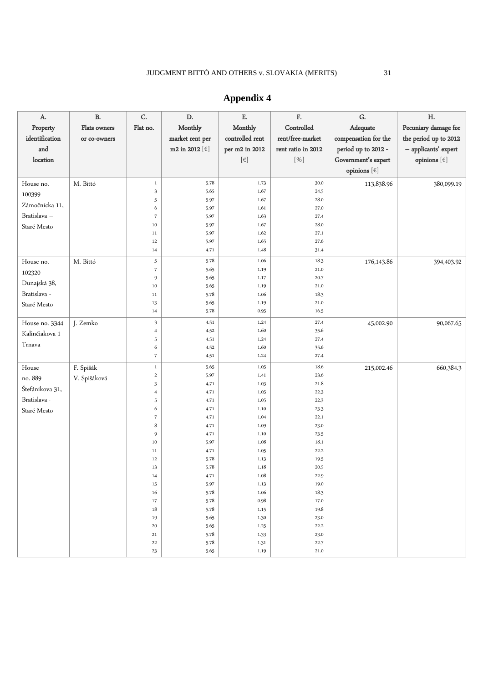| A.<br>Property<br>identification<br>and<br>location                  | $\, {\bf B}.$<br>Flats owners<br>or co-owners | C.<br>Flat no.                                                                                                                                                                               | D.<br>Monthly<br>market rent per<br>m2 in 2012 $[\in]$                                                                                                                               | ${\bf E}.$<br>Monthly<br>controlled rent<br>per m2 in 2012<br>$[\in]$                                                                                                                | F.<br>Controlled<br>rent/free-market<br>rent ratio in 2012<br>$[%]$                                                                                                                  | G.<br>Adequate<br>compensation for the<br>period up to 2012 -<br>Government's expert<br>opinions $[\in]$ | H.<br>Pecuniary damage for<br>the period up to 2012<br>- applicants' expert<br>opinions $[\in]$ |
|----------------------------------------------------------------------|-----------------------------------------------|----------------------------------------------------------------------------------------------------------------------------------------------------------------------------------------------|--------------------------------------------------------------------------------------------------------------------------------------------------------------------------------------|--------------------------------------------------------------------------------------------------------------------------------------------------------------------------------------|--------------------------------------------------------------------------------------------------------------------------------------------------------------------------------------|----------------------------------------------------------------------------------------------------------|-------------------------------------------------------------------------------------------------|
| House no.<br>100399<br>Zámočnícka 11,<br>Bratislava -<br>Staré Mesto | M. Bittó                                      | $\mathbf{1}$<br>$\mathbf{3}$<br>5<br>6<br>$\scriptstyle{7}$<br>10<br>11<br>12<br>14                                                                                                          | 5.78<br>5.65<br>5.97<br>5.97<br>5.97<br>5.97<br>5.97<br>5.97<br>4.71                                                                                                                 | 1.73<br>1.67<br>1.67<br>1.61<br>1.63<br>1.67<br>1.62<br>1.65<br>1.48                                                                                                                 | 30.0<br>24.5<br>28.0<br>27.0<br>27.4<br>28.0<br>27.1<br>27.6<br>31.4                                                                                                                 | 113,838.96                                                                                               | 380,099.19                                                                                      |
| House no.<br>102320<br>Dunajská 38,<br>Bratislava -<br>Staré Mesto   | M. Bittó                                      | 5<br>$\overline{\phantom{a}}$<br>9<br>10<br>$11\,$<br>13<br>14                                                                                                                               | 5.78<br>5.65<br>5.65<br>5.65<br>5.78<br>5.65<br>5.78                                                                                                                                 | 1.06<br>1.19<br>1.17<br>1.19<br>1.06<br>1.19<br>0.95                                                                                                                                 | 18.3<br>21.0<br>20.7<br>21.0<br>18.3<br>21.0<br>16.5                                                                                                                                 | 176, 143.86                                                                                              | 394,403.92                                                                                      |
| House no. 3344<br>Kalinčiakova 1<br>Trnava                           | J. Zemko                                      | $\mathfrak{Z}$<br>4<br>5<br>6<br>$\scriptstyle{7}$                                                                                                                                           | 4.51<br>4.52<br>4.51<br>4.52<br>4.51                                                                                                                                                 | 1.24<br>1.60<br>1.24<br>1.60<br>1.24                                                                                                                                                 | 27.4<br>35.6<br>27.4<br>35.6<br>27.4                                                                                                                                                 | 45,002.90                                                                                                | 90,067.65                                                                                       |
| House<br>no. 889<br>Štefánikova 31,<br>Bratislava -<br>Staré Mesto   | F. Spišák<br>V. Spišáková                     | $\mathbf{1}$<br>$\overline{c}$<br>3<br>4<br>5<br>6<br>$\overline{\phantom{a}}$<br>8<br>9<br>10<br>11<br>12<br>13<br>14<br>15<br>16<br>$17\,$<br>$18\,$<br>19<br>20<br>21<br>$22\,$<br>$23\,$ | 5.65<br>5.97<br>4.71<br>4.71<br>4.71<br>4.71<br>4.71<br>4.71<br>4.71<br>5.97<br>4.71<br>5.78<br>5.78<br>4.71<br>5.97<br>5.78<br>5.78<br>5.78<br>5.65<br>5.65<br>5.78<br>5.78<br>5.65 | 1.05<br>1.41<br>1.03<br>1.05<br>1.05<br>1.10<br>1.04<br>1.09<br>1.10<br>1.08<br>1.05<br>1.13<br>1.18<br>1.08<br>1.13<br>1.06<br>0.98<br>1.15<br>1.30<br>1.25<br>1.33<br>1.31<br>1.19 | 18.6<br>23.6<br>21.8<br>22.3<br>22.3<br>23.3<br>22.1<br>23.0<br>23.5<br>18.1<br>22.2<br>19.5<br>20.5<br>22.9<br>19.0<br>18.3<br>17.0<br>19.8<br>23.0<br>22.2<br>23.0<br>22.7<br>21.0 | 215,002.46                                                                                               | 660,384.3                                                                                       |

# **Appendix 4**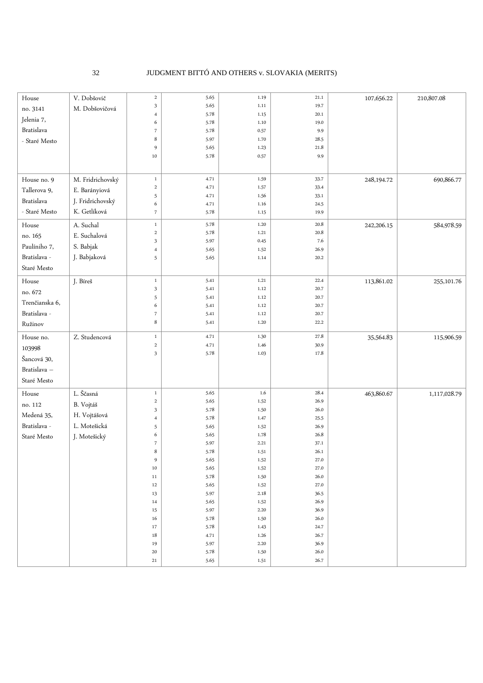#### 32 JUDGMENT BITTÓ AND OTHERS v. SLOVAKIA (MERITS)

| 5.65<br>3<br>1.11<br>19.7<br>M. Dobšovičová<br>no. 3141<br>5.78<br>1.15<br>20.1<br>$\sqrt{4}$<br>Jelenia 7,<br>6<br>5.78<br>1.10<br>19.0<br>Bratislava<br>$\overline{\phantom{a}}$<br>5.78<br>0.57<br>9.9<br>8<br>5.97<br>1.70<br>28.5<br>- Staré Mesto<br>21.8<br>9<br>5.65<br>1.23<br>$10\,$<br>5.78<br>0.57<br>9.9<br>M. Fridrichovský<br>$\,1$<br>4.71<br>1.59<br>33.7<br>690,866.77<br>House no. 9<br>248,194.72<br>$\mathbf 2$<br>4.71<br>1.57<br>33.4<br>Tallerova 9,<br>E. Barányiová<br>5<br>4.71<br>1.56<br>33.1<br>Bratislava<br>J. Fridrichovský<br>6<br>4.71<br>1.16<br>24.5<br>K. Getlíková<br>- Staré Mesto<br>$\overline{\phantom{a}}$<br>5.78<br>19.9<br>1.15<br>A. Suchal<br>5.78<br>20.8<br>584,978.59<br>$\,1$<br>1.20<br>House<br>242,206.15<br>20.8<br>$\,2$<br>5.78<br>1.21<br>E. Suchalová<br>no. 165<br>3<br>5.97<br>0.45<br>7.6<br>Paulíniho 7,<br>S. Babjak<br>5.65<br>1.52<br>26.9<br>$\overline{4}$<br>Bratislava -<br>J. Babjaková<br>5.65<br>1.14<br>20.2<br>5<br>Staré Mesto<br>1.21<br>22.4<br>113,861.02<br>${\it House}$<br>J. Bíreš<br>$\,1$<br>5.41<br>255, 101.76<br>3<br>5.41<br>1.12<br>20.7<br>no. 672<br>5<br>5.41<br>1.12<br>20.7<br>Trenčianska 6,<br>6<br>5.41<br>1.12<br>20.7<br>Bratislava -<br>$\overline{\phantom{a}}$<br>5.41<br>1.12<br>20.7<br>8<br>22.2<br>5.41<br>1.20<br>Ružinov<br>27.8<br>Z. Studencová<br>$\,1$<br>4.71<br>1.30<br>House no.<br>35,564.83<br>115,906.59<br>$\,$<br>1.46<br>4.71<br>30.9<br>103998<br>3<br>5.78<br>1.03<br>17.8<br>Šancová 30,<br>Bratislava -<br>Staré Mesto<br>L. Ščasná<br>5.65<br>1.6<br>28.4<br>$\,1$<br>463,860.67<br>${\it House}$<br>1,117,028.79<br>$\,$<br>5.65<br>26.9<br>1.52<br>no. 112<br>B. Vojtáš<br>3<br>5.78<br>26.0<br>1.50<br>Medená 35,<br>H. Vojtášová<br>5.78<br>1.47<br>25.5<br>$\overline{\mathbf{4}}$<br>Bratislava -<br>L. Motešická<br>5<br>5.65<br>1.52<br>26.9<br>1.78<br>6<br>5.65<br>26.8<br>Staré Mesto<br>J. Motešický<br>$\overline{\phantom{a}}$<br>5.97<br>2.21<br>37.1<br>8<br>26.1<br>5.78<br>1.51<br>9<br>5.65<br>27.0<br>1.52 |
|-----------------------------------------------------------------------------------------------------------------------------------------------------------------------------------------------------------------------------------------------------------------------------------------------------------------------------------------------------------------------------------------------------------------------------------------------------------------------------------------------------------------------------------------------------------------------------------------------------------------------------------------------------------------------------------------------------------------------------------------------------------------------------------------------------------------------------------------------------------------------------------------------------------------------------------------------------------------------------------------------------------------------------------------------------------------------------------------------------------------------------------------------------------------------------------------------------------------------------------------------------------------------------------------------------------------------------------------------------------------------------------------------------------------------------------------------------------------------------------------------------------------------------------------------------------------------------------------------------------------------------------------------------------------------------------------------------------------------------------------------------------------------------------------------------------------------------------------------------------------------------------------------------------------------------------------------------------------------------------------------------------------------------------------------------------------|
|                                                                                                                                                                                                                                                                                                                                                                                                                                                                                                                                                                                                                                                                                                                                                                                                                                                                                                                                                                                                                                                                                                                                                                                                                                                                                                                                                                                                                                                                                                                                                                                                                                                                                                                                                                                                                                                                                                                                                                                                                                                                 |
|                                                                                                                                                                                                                                                                                                                                                                                                                                                                                                                                                                                                                                                                                                                                                                                                                                                                                                                                                                                                                                                                                                                                                                                                                                                                                                                                                                                                                                                                                                                                                                                                                                                                                                                                                                                                                                                                                                                                                                                                                                                                 |
|                                                                                                                                                                                                                                                                                                                                                                                                                                                                                                                                                                                                                                                                                                                                                                                                                                                                                                                                                                                                                                                                                                                                                                                                                                                                                                                                                                                                                                                                                                                                                                                                                                                                                                                                                                                                                                                                                                                                                                                                                                                                 |
|                                                                                                                                                                                                                                                                                                                                                                                                                                                                                                                                                                                                                                                                                                                                                                                                                                                                                                                                                                                                                                                                                                                                                                                                                                                                                                                                                                                                                                                                                                                                                                                                                                                                                                                                                                                                                                                                                                                                                                                                                                                                 |
|                                                                                                                                                                                                                                                                                                                                                                                                                                                                                                                                                                                                                                                                                                                                                                                                                                                                                                                                                                                                                                                                                                                                                                                                                                                                                                                                                                                                                                                                                                                                                                                                                                                                                                                                                                                                                                                                                                                                                                                                                                                                 |
|                                                                                                                                                                                                                                                                                                                                                                                                                                                                                                                                                                                                                                                                                                                                                                                                                                                                                                                                                                                                                                                                                                                                                                                                                                                                                                                                                                                                                                                                                                                                                                                                                                                                                                                                                                                                                                                                                                                                                                                                                                                                 |
|                                                                                                                                                                                                                                                                                                                                                                                                                                                                                                                                                                                                                                                                                                                                                                                                                                                                                                                                                                                                                                                                                                                                                                                                                                                                                                                                                                                                                                                                                                                                                                                                                                                                                                                                                                                                                                                                                                                                                                                                                                                                 |
|                                                                                                                                                                                                                                                                                                                                                                                                                                                                                                                                                                                                                                                                                                                                                                                                                                                                                                                                                                                                                                                                                                                                                                                                                                                                                                                                                                                                                                                                                                                                                                                                                                                                                                                                                                                                                                                                                                                                                                                                                                                                 |
|                                                                                                                                                                                                                                                                                                                                                                                                                                                                                                                                                                                                                                                                                                                                                                                                                                                                                                                                                                                                                                                                                                                                                                                                                                                                                                                                                                                                                                                                                                                                                                                                                                                                                                                                                                                                                                                                                                                                                                                                                                                                 |
|                                                                                                                                                                                                                                                                                                                                                                                                                                                                                                                                                                                                                                                                                                                                                                                                                                                                                                                                                                                                                                                                                                                                                                                                                                                                                                                                                                                                                                                                                                                                                                                                                                                                                                                                                                                                                                                                                                                                                                                                                                                                 |
|                                                                                                                                                                                                                                                                                                                                                                                                                                                                                                                                                                                                                                                                                                                                                                                                                                                                                                                                                                                                                                                                                                                                                                                                                                                                                                                                                                                                                                                                                                                                                                                                                                                                                                                                                                                                                                                                                                                                                                                                                                                                 |
|                                                                                                                                                                                                                                                                                                                                                                                                                                                                                                                                                                                                                                                                                                                                                                                                                                                                                                                                                                                                                                                                                                                                                                                                                                                                                                                                                                                                                                                                                                                                                                                                                                                                                                                                                                                                                                                                                                                                                                                                                                                                 |
|                                                                                                                                                                                                                                                                                                                                                                                                                                                                                                                                                                                                                                                                                                                                                                                                                                                                                                                                                                                                                                                                                                                                                                                                                                                                                                                                                                                                                                                                                                                                                                                                                                                                                                                                                                                                                                                                                                                                                                                                                                                                 |
|                                                                                                                                                                                                                                                                                                                                                                                                                                                                                                                                                                                                                                                                                                                                                                                                                                                                                                                                                                                                                                                                                                                                                                                                                                                                                                                                                                                                                                                                                                                                                                                                                                                                                                                                                                                                                                                                                                                                                                                                                                                                 |
|                                                                                                                                                                                                                                                                                                                                                                                                                                                                                                                                                                                                                                                                                                                                                                                                                                                                                                                                                                                                                                                                                                                                                                                                                                                                                                                                                                                                                                                                                                                                                                                                                                                                                                                                                                                                                                                                                                                                                                                                                                                                 |
|                                                                                                                                                                                                                                                                                                                                                                                                                                                                                                                                                                                                                                                                                                                                                                                                                                                                                                                                                                                                                                                                                                                                                                                                                                                                                                                                                                                                                                                                                                                                                                                                                                                                                                                                                                                                                                                                                                                                                                                                                                                                 |
|                                                                                                                                                                                                                                                                                                                                                                                                                                                                                                                                                                                                                                                                                                                                                                                                                                                                                                                                                                                                                                                                                                                                                                                                                                                                                                                                                                                                                                                                                                                                                                                                                                                                                                                                                                                                                                                                                                                                                                                                                                                                 |
|                                                                                                                                                                                                                                                                                                                                                                                                                                                                                                                                                                                                                                                                                                                                                                                                                                                                                                                                                                                                                                                                                                                                                                                                                                                                                                                                                                                                                                                                                                                                                                                                                                                                                                                                                                                                                                                                                                                                                                                                                                                                 |
|                                                                                                                                                                                                                                                                                                                                                                                                                                                                                                                                                                                                                                                                                                                                                                                                                                                                                                                                                                                                                                                                                                                                                                                                                                                                                                                                                                                                                                                                                                                                                                                                                                                                                                                                                                                                                                                                                                                                                                                                                                                                 |
|                                                                                                                                                                                                                                                                                                                                                                                                                                                                                                                                                                                                                                                                                                                                                                                                                                                                                                                                                                                                                                                                                                                                                                                                                                                                                                                                                                                                                                                                                                                                                                                                                                                                                                                                                                                                                                                                                                                                                                                                                                                                 |
|                                                                                                                                                                                                                                                                                                                                                                                                                                                                                                                                                                                                                                                                                                                                                                                                                                                                                                                                                                                                                                                                                                                                                                                                                                                                                                                                                                                                                                                                                                                                                                                                                                                                                                                                                                                                                                                                                                                                                                                                                                                                 |
|                                                                                                                                                                                                                                                                                                                                                                                                                                                                                                                                                                                                                                                                                                                                                                                                                                                                                                                                                                                                                                                                                                                                                                                                                                                                                                                                                                                                                                                                                                                                                                                                                                                                                                                                                                                                                                                                                                                                                                                                                                                                 |
|                                                                                                                                                                                                                                                                                                                                                                                                                                                                                                                                                                                                                                                                                                                                                                                                                                                                                                                                                                                                                                                                                                                                                                                                                                                                                                                                                                                                                                                                                                                                                                                                                                                                                                                                                                                                                                                                                                                                                                                                                                                                 |
|                                                                                                                                                                                                                                                                                                                                                                                                                                                                                                                                                                                                                                                                                                                                                                                                                                                                                                                                                                                                                                                                                                                                                                                                                                                                                                                                                                                                                                                                                                                                                                                                                                                                                                                                                                                                                                                                                                                                                                                                                                                                 |
|                                                                                                                                                                                                                                                                                                                                                                                                                                                                                                                                                                                                                                                                                                                                                                                                                                                                                                                                                                                                                                                                                                                                                                                                                                                                                                                                                                                                                                                                                                                                                                                                                                                                                                                                                                                                                                                                                                                                                                                                                                                                 |
|                                                                                                                                                                                                                                                                                                                                                                                                                                                                                                                                                                                                                                                                                                                                                                                                                                                                                                                                                                                                                                                                                                                                                                                                                                                                                                                                                                                                                                                                                                                                                                                                                                                                                                                                                                                                                                                                                                                                                                                                                                                                 |
|                                                                                                                                                                                                                                                                                                                                                                                                                                                                                                                                                                                                                                                                                                                                                                                                                                                                                                                                                                                                                                                                                                                                                                                                                                                                                                                                                                                                                                                                                                                                                                                                                                                                                                                                                                                                                                                                                                                                                                                                                                                                 |
|                                                                                                                                                                                                                                                                                                                                                                                                                                                                                                                                                                                                                                                                                                                                                                                                                                                                                                                                                                                                                                                                                                                                                                                                                                                                                                                                                                                                                                                                                                                                                                                                                                                                                                                                                                                                                                                                                                                                                                                                                                                                 |
|                                                                                                                                                                                                                                                                                                                                                                                                                                                                                                                                                                                                                                                                                                                                                                                                                                                                                                                                                                                                                                                                                                                                                                                                                                                                                                                                                                                                                                                                                                                                                                                                                                                                                                                                                                                                                                                                                                                                                                                                                                                                 |
|                                                                                                                                                                                                                                                                                                                                                                                                                                                                                                                                                                                                                                                                                                                                                                                                                                                                                                                                                                                                                                                                                                                                                                                                                                                                                                                                                                                                                                                                                                                                                                                                                                                                                                                                                                                                                                                                                                                                                                                                                                                                 |
|                                                                                                                                                                                                                                                                                                                                                                                                                                                                                                                                                                                                                                                                                                                                                                                                                                                                                                                                                                                                                                                                                                                                                                                                                                                                                                                                                                                                                                                                                                                                                                                                                                                                                                                                                                                                                                                                                                                                                                                                                                                                 |
|                                                                                                                                                                                                                                                                                                                                                                                                                                                                                                                                                                                                                                                                                                                                                                                                                                                                                                                                                                                                                                                                                                                                                                                                                                                                                                                                                                                                                                                                                                                                                                                                                                                                                                                                                                                                                                                                                                                                                                                                                                                                 |
|                                                                                                                                                                                                                                                                                                                                                                                                                                                                                                                                                                                                                                                                                                                                                                                                                                                                                                                                                                                                                                                                                                                                                                                                                                                                                                                                                                                                                                                                                                                                                                                                                                                                                                                                                                                                                                                                                                                                                                                                                                                                 |
|                                                                                                                                                                                                                                                                                                                                                                                                                                                                                                                                                                                                                                                                                                                                                                                                                                                                                                                                                                                                                                                                                                                                                                                                                                                                                                                                                                                                                                                                                                                                                                                                                                                                                                                                                                                                                                                                                                                                                                                                                                                                 |
|                                                                                                                                                                                                                                                                                                                                                                                                                                                                                                                                                                                                                                                                                                                                                                                                                                                                                                                                                                                                                                                                                                                                                                                                                                                                                                                                                                                                                                                                                                                                                                                                                                                                                                                                                                                                                                                                                                                                                                                                                                                                 |
|                                                                                                                                                                                                                                                                                                                                                                                                                                                                                                                                                                                                                                                                                                                                                                                                                                                                                                                                                                                                                                                                                                                                                                                                                                                                                                                                                                                                                                                                                                                                                                                                                                                                                                                                                                                                                                                                                                                                                                                                                                                                 |
|                                                                                                                                                                                                                                                                                                                                                                                                                                                                                                                                                                                                                                                                                                                                                                                                                                                                                                                                                                                                                                                                                                                                                                                                                                                                                                                                                                                                                                                                                                                                                                                                                                                                                                                                                                                                                                                                                                                                                                                                                                                                 |
| 5.65<br>1.52<br>27.0<br>10                                                                                                                                                                                                                                                                                                                                                                                                                                                                                                                                                                                                                                                                                                                                                                                                                                                                                                                                                                                                                                                                                                                                                                                                                                                                                                                                                                                                                                                                                                                                                                                                                                                                                                                                                                                                                                                                                                                                                                                                                                      |
| 5.78<br>26.0<br>1.50<br>11<br>27.0<br>$12\,$<br>5.65<br>1.52                                                                                                                                                                                                                                                                                                                                                                                                                                                                                                                                                                                                                                                                                                                                                                                                                                                                                                                                                                                                                                                                                                                                                                                                                                                                                                                                                                                                                                                                                                                                                                                                                                                                                                                                                                                                                                                                                                                                                                                                    |
| 36.5<br>2.18<br>13<br>5.97                                                                                                                                                                                                                                                                                                                                                                                                                                                                                                                                                                                                                                                                                                                                                                                                                                                                                                                                                                                                                                                                                                                                                                                                                                                                                                                                                                                                                                                                                                                                                                                                                                                                                                                                                                                                                                                                                                                                                                                                                                      |
| 26.9<br>14<br>5.65<br>1.52                                                                                                                                                                                                                                                                                                                                                                                                                                                                                                                                                                                                                                                                                                                                                                                                                                                                                                                                                                                                                                                                                                                                                                                                                                                                                                                                                                                                                                                                                                                                                                                                                                                                                                                                                                                                                                                                                                                                                                                                                                      |
| 36.9<br>15<br>5.97<br>2.20                                                                                                                                                                                                                                                                                                                                                                                                                                                                                                                                                                                                                                                                                                                                                                                                                                                                                                                                                                                                                                                                                                                                                                                                                                                                                                                                                                                                                                                                                                                                                                                                                                                                                                                                                                                                                                                                                                                                                                                                                                      |
| 16<br>5.78<br>1.50<br>26.0                                                                                                                                                                                                                                                                                                                                                                                                                                                                                                                                                                                                                                                                                                                                                                                                                                                                                                                                                                                                                                                                                                                                                                                                                                                                                                                                                                                                                                                                                                                                                                                                                                                                                                                                                                                                                                                                                                                                                                                                                                      |
| 5.78<br>1.43<br>24.7<br>17                                                                                                                                                                                                                                                                                                                                                                                                                                                                                                                                                                                                                                                                                                                                                                                                                                                                                                                                                                                                                                                                                                                                                                                                                                                                                                                                                                                                                                                                                                                                                                                                                                                                                                                                                                                                                                                                                                                                                                                                                                      |
| 26.7<br>18<br>4.71<br>1.26                                                                                                                                                                                                                                                                                                                                                                                                                                                                                                                                                                                                                                                                                                                                                                                                                                                                                                                                                                                                                                                                                                                                                                                                                                                                                                                                                                                                                                                                                                                                                                                                                                                                                                                                                                                                                                                                                                                                                                                                                                      |
| 2.20<br>36.9<br>19<br>5.97<br>5.78<br>26.0<br>20<br>1.50                                                                                                                                                                                                                                                                                                                                                                                                                                                                                                                                                                                                                                                                                                                                                                                                                                                                                                                                                                                                                                                                                                                                                                                                                                                                                                                                                                                                                                                                                                                                                                                                                                                                                                                                                                                                                                                                                                                                                                                                        |
|                                                                                                                                                                                                                                                                                                                                                                                                                                                                                                                                                                                                                                                                                                                                                                                                                                                                                                                                                                                                                                                                                                                                                                                                                                                                                                                                                                                                                                                                                                                                                                                                                                                                                                                                                                                                                                                                                                                                                                                                                                                                 |